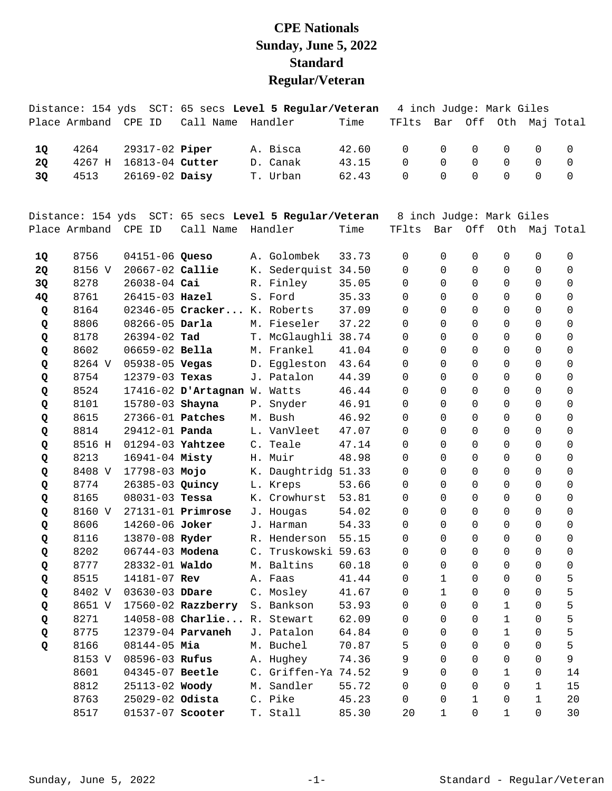## **CPE Nationals Sunday, June 5, 2022 Standard Regular/Veteran**

|                |                                                                      | Distance: 154 yds  SCT: 65 secs <b>Level 5 Regular/Veteran</b> 4 inch Judqe: Mark Giles |                                               |                                             |  |  |  |
|----------------|----------------------------------------------------------------------|-----------------------------------------------------------------------------------------|-----------------------------------------------|---------------------------------------------|--|--|--|
|                |                                                                      | Place Armband  CPE ID   Call Name  Handler                                              | Time                                          | TFlts Bar Off Oth Maj Total                 |  |  |  |
| 10<br>20<br>30 | 4264 29317-02 Piper<br>4267 H 16813-04 Cutter<br>4513 26169-02 Daisy | A. Bisca<br>D. Canak<br>T. Urban                                                        | 42.60 0 0 0 0 0 0<br>43.15<br>62.43 0 0 0 0 0 | $\begin{matrix} 0 & 0 & 0 & 0 \end{matrix}$ |  |  |  |
|                |                                                                      |                                                                                         |                                               |                                             |  |  |  |
|                |                                                                      |                                                                                         |                                               |                                             |  |  |  |

|           | Distance: 154 yds |                       |                              | SCT: 65 secs Level 5 Regular/Veteran |       | 8 inch Judge: Mark Giles |              |                     |              |             |                     |
|-----------|-------------------|-----------------------|------------------------------|--------------------------------------|-------|--------------------------|--------------|---------------------|--------------|-------------|---------------------|
|           | Place Armband     | CPE ID                | Call Name                    | Handler                              | Time  | TFlts                    | Bar          | Off                 | Oth          |             | Maj Total           |
|           |                   |                       |                              |                                      |       |                          |              |                     |              |             |                     |
| 1Q        | 8756              | 04151-06 Queso        |                              | A. Golombek                          | 33.73 | $\Omega$                 | $\Omega$     | $\Omega$            | 0            | $\Omega$    | 0                   |
| 2Q        | 8156 V            | 20667-02 Callie       |                              | K. Sederquist 34.50                  |       | $\Omega$                 | $\Omega$     | $\Omega$            | $\Omega$     | $\Omega$    | $\Omega$            |
| 3Q        | 8278              | 26038-04 Cai          |                              | R. Finley                            | 35.05 | $\Omega$                 | $\Omega$     | $\Omega$            | $\Omega$     | $\Omega$    | $\Omega$            |
| <b>4Q</b> | 8761              | 26415-03 Hazel        |                              | S. Ford                              | 35.33 | $\Omega$                 | $\Omega$     | $\mathbf 0$         | 0            | 0           | 0                   |
| Q         | 8164              |                       | 02346-05 Cracker K. Roberts  |                                      | 37.09 | $\Omega$                 | $\Omega$     | $\mathbf 0$         | 0            | 0           | 0                   |
| Q         | 8806              | $08266 - 05$ Darla    |                              | M. Fieseler                          | 37.22 | $\Omega$                 | $\Omega$     | $\mathbf 0$         | 0            | $\Omega$    | 0                   |
| Q         | 8178              | 26394-02 Tad          |                              | T. McGlaughli 38.74                  |       | $\Omega$                 | $\Omega$     | $\Omega$            | $\Omega$     | $\Omega$    | $\Omega$            |
| Q         | 8602              | 06659-02 Bella        |                              | M. Frankel                           | 41.04 | 0                        | $\Omega$     | 0                   | 0            | 0           | 0                   |
| Q         | 8264 V            | 05938-05 <b>Vegas</b> |                              | D. Eggleston                         | 43.64 | $\Omega$                 | 0            | $\mathbf 0$         | 0            | 0           | $\mathbf 0$         |
| Q         | 8754              | $12379 - 03$ Texas    |                              | J. Patalon                           | 44.39 | $\Omega$                 | $\Omega$     | $\Omega$            | $\Omega$     | $\Omega$    | $\Omega$            |
| Q         | 8524              |                       | 17416-02 D'Artagnan W. Watts |                                      | 46.44 | $\Omega$                 | $\Omega$     | $\Omega$            | $\Omega$     | $\Omega$    | $\Omega$            |
| Q         | 8101              | 15780-03 Shayna       |                              | P. Snyder                            | 46.91 | 0                        | $\Omega$     | $\mathbf 0$         | 0            | 0           | $\mathbf 0$         |
| Q         | 8615              | 27366-01 Patches      |                              | M. Bush                              | 46.92 | $\Omega$                 | 0            | $\Omega$            | 0            | $\Omega$    | $\Omega$            |
| Q         | 8814              | 29412-01 Panda        |                              | L. VanVleet                          | 47.07 | $\Omega$                 | $\Omega$     | $\Omega$            | $\Omega$     | $\Omega$    | $\Omega$            |
| Q         | 8516 H            | 01294-03 Yahtzee      |                              | C. Teale                             | 47.14 | $\Omega$                 | $\Omega$     | $\Omega$            | $\Omega$     | $\Omega$    | $\Omega$            |
| Q         | 8213              | 16941-04 Misty        |                              | H. Muir                              | 48.98 | 0                        | $\Omega$     | $\mathbf 0$         | 0            | 0           | $\mathbf 0$         |
| Q         | 8408 V            | 17798-03 Mojo         |                              | K. Daughtridg                        | 51.33 | 0                        | 0            | $\overline{0}$      | 0            | 0           | $\mathbf 0$         |
| Q         | 8774              | 26385-03 Quincy       |                              | L. Kreps                             | 53.66 | $\Omega$                 | $\Omega$     | $\overline{0}$      | 0            | 0           | $\Omega$            |
| Q         | 8165              | $08031 - 03$ Tessa    |                              | K. Crowhurst                         | 53.81 | $\Omega$                 | $\Omega$     | $\Omega$            | 0            | $\Omega$    | $\Omega$            |
| Q         | 8160 V            |                       | $27131 - 01$ Primrose        | J. Hougas                            | 54.02 | 0                        | $\Omega$     | $\mathbf 0$         | 0            | 0           | $\mathbf 0$         |
| Q         | 8606              | 14260-06 Joker        |                              | J. Harman                            | 54.33 | 0                        | $\Omega$     | $\mathbf 0$         | 0            | 0           | $\mathbf 0$         |
| Q         | 8116              | 13870-08 Ryder        |                              | R. Henderson                         | 55.15 | 0                        | $\Omega$     | $\Omega$            | 0            | 0           | $\mathbf 0$         |
| Q         | 8202              | 06744-03 Modena       |                              | C. Truskowski                        | 59.63 | $\Omega$                 | 0            | $\Omega$            | 0            | $\Omega$    | $\mathbf 0$         |
| Q         | 8777              | 28332-01 Waldo        |                              | M. Baltins                           | 60.18 | $\Omega$                 | 0            | $\Omega$            | $\Omega$     | $\Omega$    | $\mathsf{O}\xspace$ |
| Q         | 8515              | 14181-07 Rev          |                              | A. Faas                              | 41.44 | 0                        | $\mathbf 1$  | $\mathbf 0$         | 0            | 0           | 5                   |
| Q         | 8402 V            | 03630-03 DDare        |                              | C. Mosley                            | 41.67 | 0                        | $\mathbf 1$  | $\mathbf 0$         | 0            | 0           | 5                   |
| Q         | 8651 V            |                       | 17560-02 Razzberry           | S. Bankson                           | 53.93 | 0                        | 0            | 0                   | 1            | 0           | 5                   |
| Q         | 8271              |                       | 14058-08 Charlie R. Stewart  |                                      | 62.09 | 0                        | 0            | $\mathsf{O}\xspace$ | $\mathbf 1$  | $\Omega$    | 5                   |
| Q         | 8775              |                       | 12379-04 Parvaneh            | J. Patalon                           | 64.84 | 0                        | $\mathbf 0$  | $\mathbf 0$         | $\mathbf 1$  | 0           | 5                   |
| Q         | 8166              | $08144 - 05$ Mia      |                              | M. Buchel                            | 70.87 | 5                        | $\Omega$     | $\mathbf 0$         | $\Omega$     | 0           | 5                   |
|           | 8153 V            | 08596-03 Rufus        |                              | A. Hughey                            | 74.36 | 9                        | $\Omega$     | $\Omega$            | $\Omega$     | 0           | 9                   |
|           | 8601              | 04345-07 Beetle       |                              | C. Griffen-Ya 74.52                  |       | 9                        | $\Omega$     | $\Omega$            | $\mathbf{1}$ | $\Omega$    | 14                  |
|           | 8812              | 25113-02 Woody        |                              | M. Sandler                           | 55.72 | 0                        | $\Omega$     | $\mathbf 0$         | 0            | $\mathbf 1$ | 15                  |
|           | 8763              | 25029-02 Odista       |                              | C. Pike                              | 45.23 | 0                        | $\mathbf 0$  | $\mathbf{1}$        | 0            | $\mathbf 1$ | 20                  |
|           | 8517              | 01537-07 Scooter      |                              | T. Stall                             | 85.30 | 20                       | $\mathbf{1}$ | 0                   | $\mathbf{1}$ | $\Omega$    | 30                  |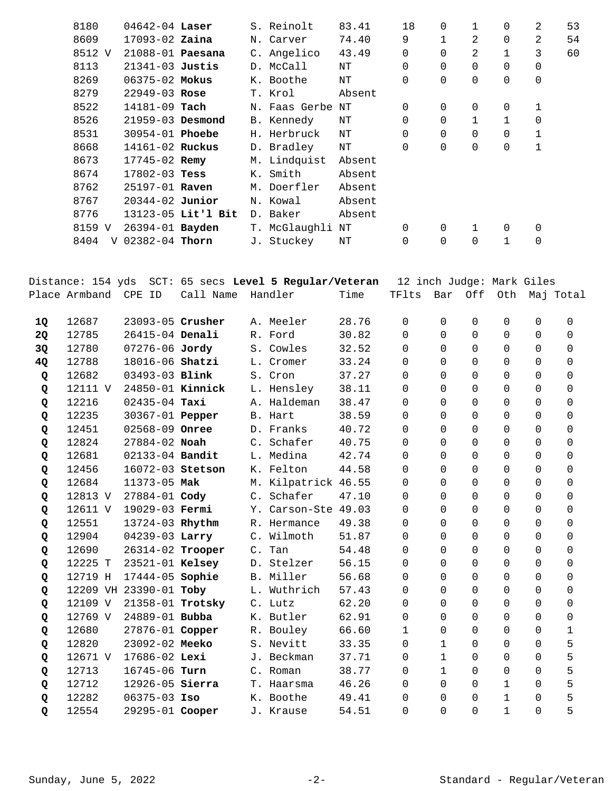| 8180      | $04642 - 04$ Laser     |                    | S. Reinolt    | 83.41  | 18             | 0        | 1            | 0            | 2           | 53 |
|-----------|------------------------|--------------------|---------------|--------|----------------|----------|--------------|--------------|-------------|----|
| 8609      | $17093 - 02$ Zaina     |                    | N. Carver     | 74.40  | 9              |          | 2            | 0            | 2           | 54 |
| 8512 V    | 21088-01 Paesana       |                    | C. Angelico   | 43.49  | 0              | $\Omega$ | 2            | 1            | 3           | 60 |
| 8113      | $21341-03$ Justis      |                    | D. McCall     | NΤ     | 0              | 0        | $\Omega$     | 0            | 0           |    |
| 8269      | $06375 - 02$ Mokus     |                    | K. Boothe     | NΤ     | 0              | 0        | $\mathbf 0$  | 0            | 0           |    |
| 8279      | $22949 - 03$ Rose      |                    | T. Krol       | Absent |                |          |              |              |             |    |
| 8522      | $14181 - 09$ Tach      |                    | N. Faas Gerbe | NΤ     | $\overline{0}$ | 0        | 0            | 0            | $\mathbf 1$ |    |
| 8526      | $21959 - 03$ Desmond   |                    | B. Kennedy    | ΝT     | $\Omega$       | $\Omega$ | $\mathbf{1}$ | $\mathbf{1}$ | $\mathbf 0$ |    |
| 8531      | 30954-01 <b>Phoebe</b> |                    | H. Herbruck   | NΤ     | 0              | $\Omega$ | $\Omega$     | 0            | $\mathbf 1$ |    |
| 8668      | 14161-02 Ruckus        |                    | D. Bradley    | NΤ     | 0              | 0        | $\mathbf 0$  | 0            | 1           |    |
| 8673      | 17745-02 Remy          |                    | M. Lindquist  | Absent |                |          |              |              |             |    |
| 8674      | $17802 - 03$ Tess      |                    | K. Smith      | Absent |                |          |              |              |             |    |
| 8762      | 25197-01 Raven         |                    | M. Doerfler   | Absent |                |          |              |              |             |    |
| 8767      | $20344 - 02$ Junior    |                    | N. Kowal      | Absent |                |          |              |              |             |    |
| 8776      |                        | 13123-05 Lit'l Bit | D. Baker      | Absent |                |          |              |              |             |    |
| 8159 V    | 26394-01 Bayden        |                    | T. McGlaughli | NΤ     | 0              | 0        | $\mathbf{1}$ | 0            | 0           |    |
| 8404<br>V | 02382-04 Thorn         |                    | J. Stuckey    | NΤ     | $\mathbf 0$    | 0        | $\Omega$     | 1            | $\mathbf 0$ |    |
|           |                        |                    |               |        |                |          |              |              |             |    |

|           | Distance: 154 yds |                        |                  | SCT: 65 secs Level 5 Regular/Veteran |       | 12 inch Judge: Mark Giles |              |                |              |             |              |
|-----------|-------------------|------------------------|------------------|--------------------------------------|-------|---------------------------|--------------|----------------|--------------|-------------|--------------|
|           | Place Armband     | CPE ID                 | Call Name        | Handler                              | Time  | TFlts                     | Bar          |                | Off Oth      |             | Maj Total    |
| 1Q        | 12687             | 23093-05 Crusher       |                  | A. Meeler                            | 28.76 | 0                         | $\Omega$     | 0              | $\mathbf 0$  | $\mathbf 0$ | $\mathbf 0$  |
| <b>2Q</b> | 12785             | 26415-04 Denali        |                  | R. Ford                              | 30.82 | $\Omega$                  | $\Omega$     | $\Omega$       | $\Omega$     | $\Omega$    | $\Omega$     |
| 3Q        | 12780             | 07276-06 Jordy         |                  | S. Cowles                            | 32.52 | $\Omega$                  | $\Omega$     | $\Omega$       | $\Omega$     | $\Omega$    | $\Omega$     |
| 4Q        | 12788             | 18016-06 Shatzi        |                  | L. Cromer                            | 33.24 | 0                         | $\Omega$     | 0              | $\mathbf 0$  | $\Omega$    | $\Omega$     |
| Q         | 12682             | 03493-03 Blink         |                  | S. Cron                              | 37.27 | $\Omega$                  | $\Omega$     | $\Omega$       | $\mathbf 0$  | $\Omega$    | $\Omega$     |
| Q         | 12111 V           | 24850-01 Kinnick       |                  | L. Hensley                           | 38.11 | $\Omega$                  | $\Omega$     | $\mathbf 0$    | $\mathbf 0$  | $\Omega$    | $\Omega$     |
| Q         | 12216             | $02435 - 04$ Taxi      |                  | A. Haldeman                          | 38.47 | $\Omega$                  | $\Omega$     | $\Omega$       | $\Omega$     | $\Omega$    | $\Omega$     |
| Q         | 12235             | 30367-01 Pepper        |                  | B. Hart                              | 38.59 | $\Omega$                  | $\Omega$     | $\mathbf 0$    | $\Omega$     | $\Omega$    | $\Omega$     |
| Q         | 12451             | 02568-09 Onree         |                  | D. Franks                            | 40.72 | $\mathbf 0$               | $\mathbf 0$  | $\mathbf 0$    | $\mathbf 0$  | 0           | $\mathbf 0$  |
| Q         | 12824             | $27884 - 02$ Noah      |                  | C. Schafer                           | 40.75 | 0                         | $\Omega$     | $\Omega$       | $\Omega$     | $\Omega$    | $\Omega$     |
| Q         | 12681             | 02133-04 Bandit        |                  | L. Medina                            | 42.74 | $\Omega$                  | $\Omega$     | 0              | $\mathbf 0$  | $\Omega$    | $\Omega$     |
| Q         | 12456             | 16072-03 Stetson       |                  | K. Felton                            | 44.58 | $\Omega$                  | $\Omega$     | $\Omega$       | $\Omega$     | $\Omega$    | $\Omega$     |
| Q         | 12684             | 11373-05 Mak           |                  | M. Kilpatrick 46.55                  |       | 0                         | $\Omega$     | $\mathsf 0$    | $\mathbf 0$  | $\Omega$    | $\Omega$     |
| Q         | 12813 V           | 27884-01 Cody          |                  | C. Schafer                           | 47.10 | 0                         | $\Omega$     | $\Omega$       | $\Omega$     | $\Omega$    | $\Omega$     |
| Q         | 12611 V           | 19029-03 Fermi         |                  | Y. Carson-Ste 49.03                  |       | $\Omega$                  | $\Omega$     | $\Omega$       | $\Omega$     | $\Omega$    | $\Omega$     |
| Q         | 12551             | 13724-03 Rhythm        |                  | R. Hermance                          | 49.38 | 0                         | $\Omega$     | $\overline{0}$ | $\mathbf 0$  | $\Omega$    | $\mathbf 0$  |
| Q         | 12904             | 04239-03 Larry         |                  | C. Wilmoth                           | 51.87 | 0                         | $\Omega$     | $\Omega$       | $\mathbf 0$  | $\Omega$    | $\Omega$     |
| Q         | 12690             |                        | 26314-02 Trooper | C. Tan                               | 54.48 | 0                         | $\Omega$     | 0              | $\mathbf 0$  | $\Omega$    | $\Omega$     |
| Q         | 12225 T           | 23521-01 Kelsey        |                  | D. Stelzer                           | 56.15 | 0                         | $\Omega$     | $\Omega$       | $\Omega$     | $\Omega$    | $\Omega$     |
| Q         | 12719 H           | 17444-05 Sophie        |                  | B. Miller                            | 56.68 | 0                         | $\Omega$     | $\mathbf 0$    | $\mathbf 0$  | 0           | $\mathbf 0$  |
| Q         |                   | 12209 VH 23390-01 Toby |                  | L. Wuthrich                          | 57.43 | 0                         | $\Omega$     | $\Omega$       | $\Omega$     | $\Omega$    | $\Omega$     |
| Q         | 12109 V           |                        | 21358-01 Trotsky | C. Lutz                              | 62.20 | $\Omega$                  | $\Omega$     | $\Omega$       | $\Omega$     | $\Omega$    | $\Omega$     |
| Q         | 12769 V           | 24889-01 Bubba         |                  | K. Butler                            | 62.91 | 0                         | $\mathbf 0$  | 0              | $\mathbf 0$  | $\Omega$    | $\mathbf 0$  |
| Q         | 12680             | 27876-01 Copper        |                  | R. Bouley                            | 66.60 | $\mathbf{1}$              | $\Omega$     | $\mathbf 0$    | $\mathbf 0$  | $\Omega$    | $\mathbf{1}$ |
| Q         | 12820             | 23092-02 Meeko         |                  | S. Nevitt                            | 33.35 | $\Omega$                  | $\mathbf{1}$ | 0              | $\mathbf 0$  | $\Omega$    | 5            |
| Q         | 12671 V           | 17686-02 Lexi          |                  | J. Beckman                           | 37.71 | $\Omega$                  | $\mathbf{1}$ | $\Omega$       | $\Omega$     | $\Omega$    | 5            |
| Q         | 12713             | 16745-06 Turn          |                  | C. Roman                             | 38.77 | $\Omega$                  | $\mathbf{1}$ | $\Omega$       | $\mathbf 0$  | $\Omega$    | 5            |
| Q         | 12712             | 12926-05 Sierra        |                  | T. Haarsma                           | 46.26 | $\Omega$                  | $\Omega$     | $\Omega$       | $\mathbf{1}$ | $\Omega$    | 5            |
| Q         | 12282             | $06375 - 03$ Iso       |                  | K. Boothe                            | 49.41 | $\Omega$                  | $\Omega$     | $\Omega$       | $\mathbf{1}$ | $\Omega$    | 5            |
| Q         | 12554             | 29295-01 Cooper        |                  | J. Krause                            | 54.51 | 0                         | $\Omega$     | $\mathbf 0$    | $\mathbf{1}$ | $\Omega$    | 5            |
|           |                   |                        |                  |                                      |       |                           |              |                |              |             |              |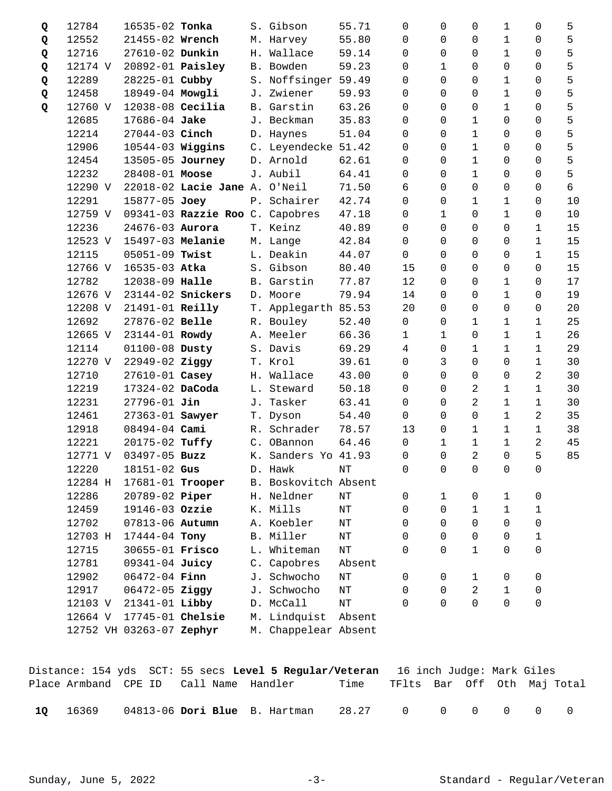| Q | 12784   | 16535-02 Tonka           |                                 |    | S. Gibson            | 55.71     | 0              | 0                   | 0              | 1            | 0              | 5  |
|---|---------|--------------------------|---------------------------------|----|----------------------|-----------|----------------|---------------------|----------------|--------------|----------------|----|
| Q | 12552   | 21455-02 Wrench          |                                 |    | M. Harvey            | 55.80     | $\Omega$       | 0                   | 0              | 1            | 0              | 5  |
| Q | 12716   | 27610-02 Dunkin          |                                 |    | H. Wallace           | 59.14     | 0              | $\Omega$            | 0              | 1            | 0              | 5  |
| Q | 12174 V | 20892-01 <b>Paisley</b>  |                                 |    | B. Bowden            | 59.23     | 0              | $\mathbf 1$         | 0              | 0            | 0              | 5  |
| Q | 12289   | 28225-01 Cubby           |                                 |    | S. Noffsinger 59.49  |           | 0              | $\Omega$            | 0              | 1            | 0              | 5  |
| Q | 12458   | 18949-04 Mowgli          |                                 |    | J. Zwiener           | 59.93     | 0              | $\Omega$            | 0              | 1            | 0              | 5  |
| Q | 12760 V | $12038-08$ Cecilia       |                                 |    | B. Garstin           | 63.26     | $\Omega$       | $\Omega$            | 0              | 1            | $\Omega$       | 5  |
|   | 12685   | 17686-04 Jake            |                                 |    | J. Beckman           | 35.83     | $\Omega$       | $\Omega$            | $\mathbf 1$    | 0            | 0              | 5  |
|   | 12214   | 27044-03 Cinch           |                                 |    | D. Haynes            | 51.04     | $\Omega$       | $\Omega$            | $\mathbf 1$    | 0            | 0              | 5  |
|   | 12906   | $10544-03$ Wiggins       |                                 |    | C. Leyendecke 51.42  |           | $\Omega$       | $\Omega$            | $\mathbf 1$    | 0            | 0              | 5  |
|   | 12454   | 13505-05 Journey         |                                 |    | D. Arnold            | 62.61     | $\Omega$       | $\Omega$            | 1              | 0            | $\Omega$       | 5  |
|   | 12232   | 28408-01 Moose           |                                 |    | J. Aubil             | 64.41     | 0              | 0                   | $\mathbf{1}$   | 0            | 0              | 5  |
|   | 12290 V |                          | 22018-02 Lacie Jane A. O'Neil   |    |                      | 71.50     | 6              | 0                   | $\mathbf 0$    | 0            | 0              | 6  |
|   | 12291   | 15877-05 Joey            |                                 |    | P. Schairer          | 42.74     | $\Omega$       | $\Omega$            | 1              | 1            | 0              | 10 |
|   | 12759 V |                          | 09341-03 Razzie Roo C. Capobres |    |                      | 47.18     | $\Omega$       | $\mathbf 1$         | 0              | 1            | 0              | 10 |
|   | 12236   | 24676-03 Aurora          |                                 |    | T. Keinz             | 40.89     | 0              | $\Omega$            | 0              | 0            | $\mathbf 1$    | 15 |
|   | 12523 V | 15497-03 Melanie         |                                 |    | M. Lange             | 42.84     | $\mathsf{O}$   | $\Omega$            | $\mathbf 0$    | 0            | $\mathbf 1$    | 15 |
|   | 12115   | 05051-09 Twist           |                                 |    | L. Deakin            | 44.07     | $\Omega$       | $\Omega$            | $\Omega$       | 0            | $\mathbf 1$    | 15 |
|   | 12766 V | 16535-03 Atka            |                                 |    | S. Gibson            | 80.40     | 15             | $\Omega$            | 0              | 0            | 0              | 15 |
|   | 12782   | 12038-09 Halle           |                                 |    | B. Garstin           | 77.87     | 12             | $\Omega$            | 0              | 1            | 0              | 17 |
|   | 12676 V |                          | 23144-02 Snickers               |    | D. Moore             | 79.94     | 14             | $\mathbf 0$         | 0              | 1            | 0              | 19 |
|   | 12208 V | 21491-01 Reilly          |                                 |    | T. Applegarth 85.53  |           | 20             | $\Omega$            | 0              | 0            | 0              | 20 |
|   | 12692   | 27876-02 Belle           |                                 |    | R. Bouley            | 52.40     | $\mathsf{O}$   | 0                   | 1              | 1            | 1              | 25 |
|   | 12665 V | 23144-01 Rowdy           |                                 |    | A. Meeler            | 66.36     | $\mathbf{1}$   | $\mathbf{1}$        | $\overline{0}$ | 1            | $\mathbf 1$    | 26 |
|   | 12114   | 01100-08 Dusty           |                                 |    | S. Davis             | 69.29     | 4              | 0                   | $1\,$          | $\mathbf{1}$ | $\mathbf 1$    | 29 |
|   | 12270 V | 22949-02 Ziggy           |                                 |    | T. Krol              | 39.61     | $\mathbf 0$    | 3                   | $\mathbf 0$    | 0            | $\mathbf 1$    | 30 |
|   | 12710   | 27610-01 Casey           |                                 | H. | Wallace              | 43.00     | $\Omega$       | $\Omega$            | 0              | 0            | 2              | 30 |
|   | 12219   | 17324-02 DaCoda          |                                 |    | L. Steward           | 50.18     | 0              | $\Omega$            | 2              | 1            | 1              | 30 |
|   | 12231   | $27796 - 01$ Jin         |                                 |    | J. Tasker            | 63.41     | 0              | 0                   | 2              | 1            | $\mathbf 1$    | 30 |
|   | 12461   | 27363-01 Sawyer          |                                 |    | T. Dyson             | 54.40     | 0              | $\Omega$            | $\overline{0}$ | 1            | 2              | 35 |
|   | 12918   | $08494 - 04$ Cami        |                                 | R. | Schrader             | 78.57     | 13             | 0                   | 1              | 1            | 1              | 38 |
|   | 12221   | 20175-02 Tuffy           |                                 |    | C. OBannon           | 64.46     | $\mathbf 0$    | 1                   | $\mathbf 1$    | 1            | 2              | 45 |
|   | 12771 V | 03497-05 Buzz            |                                 |    | K. Sanders Yo 41.93  |           | 0              | $\mathbf 0$         | 2              | 0            | 5              | 85 |
|   | 12220   | 18151-02 Gus             |                                 |    | D. Hawk              | $\rm{NT}$ | $\overline{0}$ | $\mathsf{O}\xspace$ | $\overline{0}$ | $\mathsf{O}$ | $\overline{0}$ |    |
|   | 12284 H | 17681-01 Trooper         |                                 |    | B. Boskovitch Absent |           |                |                     |                |              |                |    |
|   | 12286   | 20789-02 Piper           |                                 |    | H. Neldner           | $\rm{NT}$ | 0              | 1                   | 0              | 1            | 0              |    |
|   | 12459   | 19146-03 Ozzie           |                                 |    | K. Mills             | $\rm{NT}$ | 0              | 0                   | $\mathbf{1}$   | $\mathbf 1$  | 1              |    |
|   | 12702   | 07813-06 Autumn          |                                 |    | A. Koebler           | ΝT        | 0              | $\Omega$            | $\Omega$       | 0            | 0              |    |
|   | 12703 H | 17444-04 Tony            |                                 |    | B. Miller            | $\rm{NT}$ | 0              | $\Omega$            | $\overline{0}$ | 0            | 1              |    |
|   | 12715   | 30655-01 Frisco          |                                 |    | L. Whiteman          | $\rm{NT}$ | $\Omega$       | $\Omega$            | $\mathbf 1$    | 0            | 0              |    |
|   | 12781   | 09341-04 Juicy           |                                 |    | C. Capobres          | Absent    |                |                     |                |              |                |    |
|   | 12902   | 06472-04 Finn            |                                 |    | J. Schwocho          | $\rm{NT}$ | 0              | 0                   | 1              | 0            | 0              |    |
|   | 12917   | 06472-05 Ziggy           |                                 | J. | Schwocho             | $\rm{NT}$ | 0              | $\Omega$            | 2              | $\mathbf{1}$ | 0              |    |
|   | 12103 V | 21341-01 Libby           |                                 |    | D. McCall            | $\rm{NT}$ | $\Omega$       | $\Omega$            | 0              | 0            | 0              |    |
|   | 12664 V | 17745-01 Chelsie         |                                 |    | M. Lindquist         | Absent    |                |                     |                |              |                |    |
|   |         | 12752 VH 03263-07 Zephyr |                                 |    | M. Chappelear Absent |           |                |                     |                |              |                |    |

|      |       |                                        | Distance: 154 yds SCT: 55 secs Level 5 Regular/Veteran 16 inch Judge: Mark Giles |                   |                             |  |  |  |
|------|-------|----------------------------------------|----------------------------------------------------------------------------------|-------------------|-----------------------------|--|--|--|
|      |       | Place Armband CPE ID Call Name Handler |                                                                                  | Time              | TFlts Bar Off Oth Maj-Total |  |  |  |
| - 10 | 16369 |                                        | 04813-06 Dori Blue B. Hartman                                                    | 28.27 0 0 0 0 0 0 |                             |  |  |  |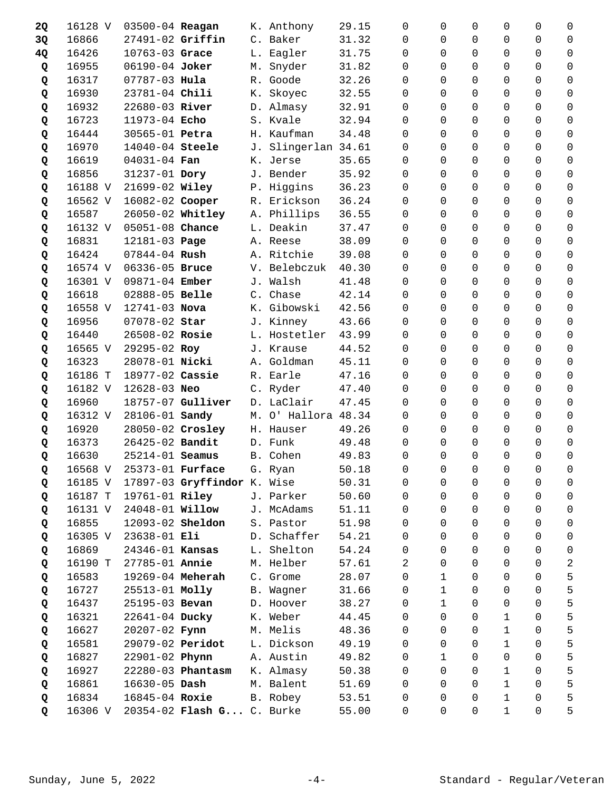| 2Q | 16128 V | 03500-04 Reagan          |                             |            | K. Anthony          | 29.15 | $\Omega$       | 0                   | $\Omega$       | 0              | 0              | 0                   |
|----|---------|--------------------------|-----------------------------|------------|---------------------|-------|----------------|---------------------|----------------|----------------|----------------|---------------------|
| 3Q | 16866   | 27491-02 Griffin         |                             |            | C. Baker            | 31.32 | $\Omega$       | 0                   | $\Omega$       | 0              | 0              | 0                   |
| 4Q | 16426   | 10763-03 Grace           |                             |            | L. Eagler           | 31.75 | $\Omega$       | 0                   | $\Omega$       | $\Omega$       | $\Omega$       | 0                   |
| Q  | 16955   | 06190-04 Joker           |                             |            | M. Snyder           | 31.82 | 0              | 0                   | 0              | 0              | $\Omega$       | $\mathbf 0$         |
| Q  | 16317   | 07787-03 Hula            |                             |            | R. Goode            | 32.26 | $\Omega$       | 0                   | $\Omega$       | 0              | $\Omega$       | 0                   |
| Q  | 16930   | 23781-04 Chili           |                             | К.         | Skoyec              | 32.55 | $\Omega$       | 0                   | $\Omega$       | 0              | 0              | 0                   |
| Q  | 16932   | 22680-03 River           |                             |            | D. Almasy           | 32.91 | $\Omega$       | 0                   | $\Omega$       | $\Omega$       | $\Omega$       | $\Omega$            |
| Q  | 16723   | 11973-04 Echo            |                             |            | S. Kvale            | 32.94 | $\Omega$       | $\Omega$            | $\Omega$       | $\Omega$       | $\Omega$       | 0                   |
| Q  | 16444   | 30565-01 Petra           |                             |            | H. Kaufman          | 34.48 | $\Omega$       | $\Omega$            | $\Omega$       | $\Omega$       | $\Omega$       | 0                   |
| Q  | 16970   | 14040-04 Steele          |                             | J.         | Slingerlan 34.61    |       | $\Omega$       | $\Omega$            | $\Omega$       | $\Omega$       | $\Omega$       | $\Omega$            |
| Q  | 16619   | $04031 - 04$ Fan         |                             |            | K. Jerse            | 35.65 | $\Omega$       | 0                   | $\Omega$       | $\Omega$       | $\Omega$       | $\Omega$            |
| Q  | 16856   | 31237-01 Dory            |                             |            | J. Bender           | 35.92 | $\Omega$       | 0                   | $\Omega$       | $\Omega$       | $\Omega$       | 0                   |
| Q  | 16188 V | 21699-02 Wiley           |                             |            | P. Higgins          | 36.23 | 0              | 0                   | $\Omega$       | $\Omega$       | $\mathbf 0$    | $\mathbf 0$         |
| Q  | 16562 V | 16082-02 Cooper          |                             |            | R. Erickson         | 36.24 | $\Omega$       | 0                   | $\Omega$       | 0              | $\Omega$       | 0                   |
| Q  | 16587   | 26050-02 Whitley         |                             |            | A. Phillips         | 36.55 | $\Omega$       | 0                   | $\Omega$       | 0              | $\Omega$       | 0                   |
| Q  | 16132 V | 05051-08 Chance          |                             |            | L. Deakin           | 37.47 | $\Omega$       | $\Omega$            | $\Omega$       | 0              | $\Omega$       | 0                   |
| Q  | 16831   | 12181-03 Page            |                             |            | A. Reese            | 38.09 | $\Omega$       | 0                   | $\Omega$       | $\Omega$       | $\Omega$       | $\mathbf 0$         |
| Q  | 16424   | $07844 - 04$ Rush        |                             |            | A. Ritchie          | 39.08 | $\Omega$       | 0                   | $\Omega$       | $\Omega$       | $\Omega$       | $\Omega$            |
| Q  | 16574 V | 06336-05 Bruce           |                             | V.         | Belebczuk           | 40.30 | $\Omega$       | 0                   | $\Omega$       | 0              | $\Omega$       | $\Omega$            |
| Q  | 16301 V | 09871-04 Ember           |                             |            | J. Walsh            | 41.48 | $\Omega$       | $\Omega$            | $\Omega$       | $\Omega$       | $\Omega$       | $\Omega$            |
| Q  | 16618   | 02888-05 Belle           |                             |            | C. Chase            | 42.14 | 0              | 0                   | $\mathbf 0$    | $\Omega$       | $\Omega$       | $\mathbf 0$         |
| Q  | 16558 V | 12741-03 Nova            |                             | К.         | Gibowski            | 42.56 | 0              | 0                   | $\Omega$       | 0              | 0              | 0                   |
| Q  | 16956   | 07078-02 Star            |                             | J.         | Kinney              | 43.66 | $\Omega$       | 0                   | $\Omega$       | 0              | 0              | 0                   |
| Q  | 16440   | 26508-02 Rosie           |                             |            | L. Hostetler        | 43.99 | $\Omega$       | $\Omega$            | $\Omega$       | $\Omega$       | $\Omega$       | 0                   |
| Q  | 16565 V | 29295-02 Roy             |                             |            | J. Krause           | 44.52 | $\Omega$       | 0                   | $\Omega$       | $\Omega$       | $\Omega$       | $\mathbf 0$         |
| Q  | 16323   | 28078-01 Nicki           |                             |            | A. Goldman          | 45.11 | 0              | 0                   | $\Omega$       | 0              | $\Omega$       | 0                   |
| Q  | 16186 T | 18977-02 Cassie          |                             |            | R. Earle            | 47.16 | $\Omega$       | 0                   | $\Omega$       | 0              | 0              | $\Omega$            |
| Q  | 16182 V | $12628 - 03$ Neo         |                             |            | C. Ryder            | 47.40 | $\Omega$       | 0                   | $\Omega$       | $\Omega$       | $\Omega$       | 0                   |
| Q  | 16960   |                          | 18757-07 Gulliver           |            | D. LaClair          | 47.45 | 0              | 0                   | 0              | 0              | $\overline{0}$ | 0                   |
| Q  | 16312 V | 28106-01 Sandy           |                             |            | M. O' Hallora 48.34 |       | $\Omega$       | 0                   | $\Omega$       | 0              | $\Omega$       | 0                   |
| Q  | 16920   | 28050-02 Crosley         |                             |            | H. Hauser           | 49.26 | $\Omega$       | 0                   | $\Omega$       | 0              | 0              | 0                   |
| Q  | 16373   | 26425-02 Bandit          |                             |            | D. Funk             | 49.48 | $\Omega$       | 0                   | $\Omega$       | $\Omega$       | $\Omega$       | 0                   |
| Q  | 16630   | 25214-01 Seamus          |                             |            | B. Cohen            | 49.83 | 0              | 0                   | $\mathbf 0$    | $\Omega$       | $\mathbf 0$    | 0                   |
| Q  |         | 16568 V 25373-01 Furface |                             |            | G. Ryan             | 50.18 | $\overline{0}$ | $\mathsf{O}\xspace$ | $\overline{0}$ | $\overline{0}$ | $\overline{0}$ | $\mathsf{O}\xspace$ |
| Q  | 16185 V |                          | 17897-03 Gryffindor K. Wise |            |                     | 50.31 | 0              | 0                   | 0              | 0              | 0              | 0                   |
| Q  | 16187 T | 19761-01 Riley           |                             |            | J. Parker           | 50.60 | 0              | 0                   | $\Omega$       | $\Omega$       | $\Omega$       | 0                   |
| Q  | 16131 V | 24048-01 <b>Willow</b>   |                             |            | J. McAdams          | 51.11 | 0              | 0                   | $\mathbf 0$    | 0              | $\mathbf 0$    | 0                   |
| Q  | 16855   | 12093-02 Sheldon         |                             |            | S. Pastor           | 51.98 | 0              | 0                   | 0              | 0              | $\mathbf 0$    | $\mathsf 0$         |
| Q  | 16305 V | 23638-01 Eli             |                             |            | D. Schaffer         | 54.21 | $\Omega$       | 0                   | $\Omega$       | $\Omega$       | 0              | 0                   |
| Q  | 16869   | 24346-01 Kansas          |                             |            | L. Shelton          | 54.24 | 0              | 0                   | $\Omega$       | 0              | 0              | 0                   |
| Q  | 16190 T | 27785-01 Annie           |                             |            | M. Helber           | 57.61 | 2              | 0                   | 0              | 0              | $\mathbf 0$    | $\sqrt{2}$          |
| Q  | 16583   | 19269-04 Meherah         |                             |            | C. Grome            | 28.07 | 0              | $\mathbf 1$         | 0              | 0              | $\mathsf{O}$   | 5                   |
| Q  | 16727   | 25513-01 Molly           |                             | <b>B</b> . | Wagner              | 31.66 | 0              | $\mathbf 1$         | $\Omega$       | 0              | 0              | 5                   |
| Q  | 16437   | 25195-03 Bevan           |                             |            | D. Hoover           | 38.27 | 0              | $\mathbf 1$         | $\Omega$       | 0              | 0              | 5                   |
| Q  | 16321   | 22641-04 Ducky           |                             |            | K. Weber            | 44.45 | 0              | 0                   | $\Omega$       | $\mathbf 1$    | $\Omega$       | 5                   |
| Q  | 16627   | 20207-02 Fynn            |                             |            | M. Melis            | 48.36 | 0              | 0                   | 0              | $\mathbf 1$    | $\Omega$       | 5                   |
| Q  | 16581   | 29079-02 Peridot         |                             |            | L. Dickson          | 49.19 | 0              | 0                   | $\Omega$       | $\mathbf{1}$   | 0              | 5                   |
| Q  | 16827   | 22901-02 Phynn           |                             |            | A. Austin           | 49.82 | 0              | $\mathbf 1$         | $\Omega$       | $\Omega$       | 0              | 5                   |
| Q  | 16927   |                          | 22280-03 Phantasm           |            | K. Almasy           | 50.38 | 0              | 0                   | $\Omega$       | $\mathbf{1}$   | $\Omega$       | 5                   |
| Q  | 16861   | $16630 - 05$ Dash        |                             |            | M. Balent           | 51.69 | 0              | 0                   | 0              | $\mathbf 1$    | $\Omega$       | 5                   |
| Q  | 16834   | 16845-04 Roxie           |                             |            | B. Robey            | 53.51 | 0              | 0                   | 0              | 1              | 0              | 5                   |
| Q  | 16306 V |                          | 20354-02 Flash G C. Burke   |            |                     | 55.00 | 0              | 0                   | 0              | $\mathbf 1$    | $\mathbf 0$    | 5                   |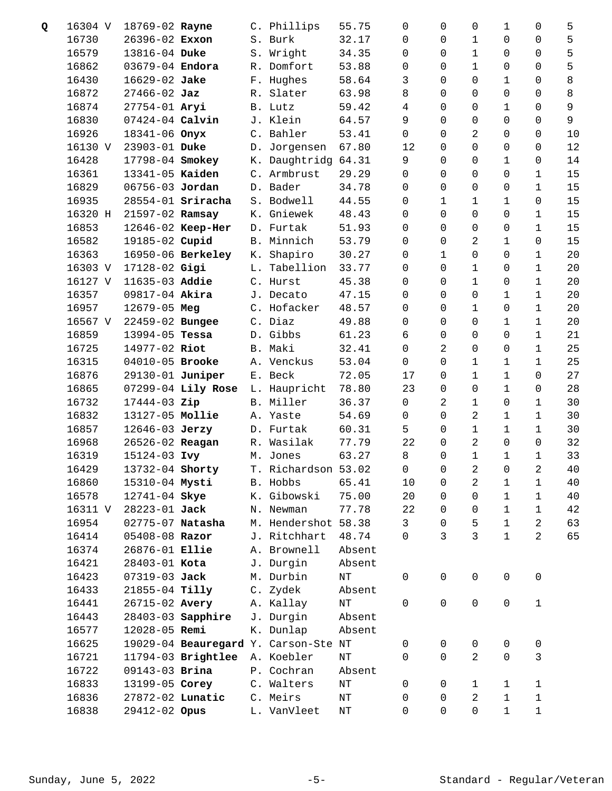| Q | 16304 V | 18769-02 Rayne      |                          |    | C. Phillips                          | 55.75     | 0              | 0            | $\mathbf 0$    | 1            | 0              | 5  |
|---|---------|---------------------|--------------------------|----|--------------------------------------|-----------|----------------|--------------|----------------|--------------|----------------|----|
|   | 16730   | 26396-02 Exxon      |                          |    | S. Burk                              | 32.17     | $\mathbf 0$    | 0            | 1              | 0            | 0              | 5  |
|   | 16579   | 13816-04 Duke       |                          |    | S. Wright                            | 34.35     | $\mathbf 0$    | $\Omega$     | 1              | 0            | 0              | 5  |
|   | 16862   | 03679-04 Endora     |                          |    | R. Domfort                           | 53.88     | 0              | 0            | $\mathbf{1}$   | 0            | 0              | 5  |
|   | 16430   | 16629-02 Jake       |                          |    | F. Hughes                            | 58.64     | 3              | 0            | $\mathbf 0$    | 1            | 0              | 8  |
|   | 16872   | $27466 - 02$ Jaz    |                          |    | R. Slater                            | 63.98     | 8              | $\Omega$     | 0              | 0            | 0              | 8  |
|   | 16874   | 27754-01 Aryi       |                          |    | B. Lutz                              | 59.42     | 4              | $\Omega$     | 0              | 1            | 0              | 9  |
|   | 16830   | $07424 - 04$ Calvin |                          |    | J. Klein                             | 64.57     | 9              | $\Omega$     | 0              | 0            | 0              | 9  |
|   | 16926   | 18341-06 Onyx       |                          |    | C. Bahler                            | 53.41     | $\mathsf{O}$   | $\mathbf 0$  | 2              | 0            | 0              | 10 |
|   | 16130 V | 23903-01 Duke       |                          |    | D. Jorgensen                         | 67.80     | 12             | $\Omega$     | $\mathbf 0$    | 0            | 0              | 12 |
|   | 16428   | 17798-04 Smokey     |                          |    | K. Daughtridg 64.31                  |           | 9              | $\Omega$     | 0              | 1            | 0              | 14 |
|   | 16361   | 13341-05 Kaiden     |                          |    | C. Armbrust                          | 29.29     | 0              | $\Omega$     | 0              | 0            | 1              | 15 |
|   | 16829   | 06756-03 Jordan     |                          |    | D. Bader                             | 34.78     | 0              | 0            | 0              | 0            | 1              | 15 |
|   | 16935   |                     | 28554-01 <b>Sriracha</b> |    | S. Bodwell                           | 44.55     | 0              | 1            | 1              | 1            | 0              | 15 |
|   | 16320 H | 21597-02 Ramsay     |                          |    | K. Gniewek                           | 48.43     | 0              | $\Omega$     | 0              | 0            | 1              | 15 |
|   | 16853   |                     | 12646-02 Keep-Her        |    | D. Furtak                            | 51.93     | 0              | $\Omega$     | 0              | 0            | 1              | 15 |
|   | 16582   | 19185-02 Cupid      |                          |    | B. Minnich                           | 53.79     | 0              | 0            | 2              | 1            | 0              | 15 |
|   | 16363   |                     | 16950-06 Berkeley        |    | K. Shapiro                           | 30.27     | 0              | $\mathbf{1}$ | $\mathbf 0$    | 0            | 1              | 20 |
|   | 16303 V | 17128-02 Gigi       |                          | L. | Tabellion                            | 33.77     | 0              | $\Omega$     | 1              | 0            | 1              | 20 |
|   | 16127 V | 11635-03 Addie      |                          |    | C. Hurst                             | 45.38     | 0              | $\Omega$     | 1              | 0            | 1              | 20 |
|   | 16357   | 09817-04 Akira      |                          |    | J. Decato                            | 47.15     | 0              | 0            | $\overline{0}$ | 1            | $\mathbf 1$    | 20 |
|   | 16957   | 12679-05 Meg        |                          |    | C. Hofacker                          | 48.57     | 0              | 0            | 1              | 0            | 1              | 20 |
|   | 16567 V | 22459-02 Bungee     |                          |    | C. Diaz                              | 49.88     | 0              | $\Omega$     | 0              | 1            | 1              | 20 |
|   | 16859   | 13994-05 Tessa      |                          |    | D. Gibbs                             | 61.23     | 6              | $\Omega$     | 0              | 0            | 1              | 21 |
|   | 16725   | 14977-02 Riot       |                          |    | B. Maki                              | 32.41     | 0              | 2            | $\mathbf 0$    | 0            | $\mathbf 1$    | 25 |
|   | 16315   | 04010-05 Brooke     |                          |    | A. Venckus                           | 53.04     | $\mathsf{O}$   | 0            | $\mathbf 1$    | 1            | $\mathbf 1$    | 25 |
|   | 16876   | 29130-01 Juniper    |                          |    | E. Beck                              | 72.05     | 17             | $\Omega$     | 1              | 1            | 0              | 27 |
|   | 16865   |                     | 07299-04 Lily Rose       |    | L. Haupricht                         | 78.80     | 23             | $\Omega$     | 0              | 1            | 0              | 28 |
|   | 16732   | 17444-03 Zip        |                          |    | B. Miller                            | 36.37     | $\mathsf{O}$   | 2            | 1              | 0            | 1              | 30 |
|   | 16832   | 13127-05 Mollie     |                          |    | A. Yaste                             | 54.69     | $\mathsf{O}$   | $\Omega$     | 2              | 1            | 1              | 30 |
|   | 16857   | 12646-03 Jerzy      |                          |    | D. Furtak                            | 60.31     | 5              | $\Omega$     | $\mathbf 1$    | 1            | 1              | 30 |
|   | 16968   | 26526-02 Reagan     |                          |    | R. Wasilak                           | 77.79     | 22             | $\Omega$     | 2              | 0            | 0              | 32 |
|   | 16319   | 15124-03 Ivy        |                          |    | M. Jones                             | 63.27     | 8              | $\mathbf 0$  | $1\,$          | $\mathbf 1$  | $\mathbf 1$    | 33 |
|   | 16429   | 13732-04 Shorty     |                          |    | T. Richardson 53.02                  |           | $\overline{0}$ | $\mathsf 0$  | $\overline{a}$ | $\mathsf{O}$ | $\overline{a}$ | 40 |
|   | 16860   | 15310-04 Mysti      |                          |    | B. Hobbs                             | 65.41     | 10             | 0            | 2              | 1            | 1              | 40 |
|   | 16578   | 12741-04 Skye       |                          |    | K. Gibowski                          | 75.00     | 20             | 0            | $\mathbf 0$    | $\mathbf 1$  | 1              | 40 |
|   | 16311 V | 28223-01 Jack       |                          |    | N. Newman                            | 77.78     | 22             | $\Omega$     | 0              | 1            | $\mathbf 1$    | 42 |
|   | 16954   | 02775-07 Natasha    |                          |    | M. Hendershot                        | 58.38     | 3              | 0            | 5              | $\mathbf 1$  | 2              | 63 |
|   | 16414   | 05408-08 Razor      |                          |    | J. Ritchhart                         | 48.74     | 0              | 3            | 3              | 1            | 2              | 65 |
|   | 16374   | 26876-01 Ellie      |                          |    | A. Brownell                          | Absent    |                |              |                |              |                |    |
|   | 16421   | 28403-01 Kota       |                          |    | J. Durgin                            | Absent    |                |              |                |              |                |    |
|   | 16423   | 07319-03 Jack       |                          |    | M. Durbin                            | $\rm{NT}$ | 0              | 0            | 0              | 0            | 0              |    |
|   | 16433   | 21855-04 Tilly      |                          |    | C. Zydek                             | Absent    |                |              |                |              |                |    |
|   | 16441   | 26715-02 Avery      |                          |    | A. Kallay                            | $\rm{NT}$ | 0              | $\mathsf 0$  | 0              | 0            | $\mathbf 1$    |    |
|   | 16443   |                     | 28403-03 Sapphire        |    | J. Durgin                            | Absent    |                |              |                |              |                |    |
|   | 16577   | 12028-05 Remi       |                          |    | K. Dunlap                            | Absent    |                |              |                |              |                |    |
|   | 16625   |                     |                          |    | 19029-04 Beauregard Y. Carson-Ste NT |           | 0              | 0            | 0              | 0            | 0              |    |
|   | 16721   |                     | 11794-03 Brightlee       |    | A. Koebler                           | NT        | 0              | $\Omega$     | 2              | 0            | 3              |    |
|   | 16722   | 09143-03 Brina      |                          |    | P. Cochran                           | Absent    |                |              |                |              |                |    |
|   | 16833   | 13199-05 Corey      |                          |    | C. Walters                           | $\rm{NT}$ | 0              | 0            | $\mathbf{1}$   | 1            | $\mathbf{1}$   |    |
|   | 16836   | 27872-02 Lunatic    |                          |    | C. Meirs                             | $\rm{NT}$ | 0              | 0            | 2              | $\mathbf 1$  | $\mathbf 1$    |    |
|   | 16838   | 29412-02 Opus       |                          |    | L. VanVleet                          | $\rm{NT}$ | 0              | 0            | 0              | $\mathbf 1$  | $1\,$          |    |
|   |         |                     |                          |    |                                      |           |                |              |                |              |                |    |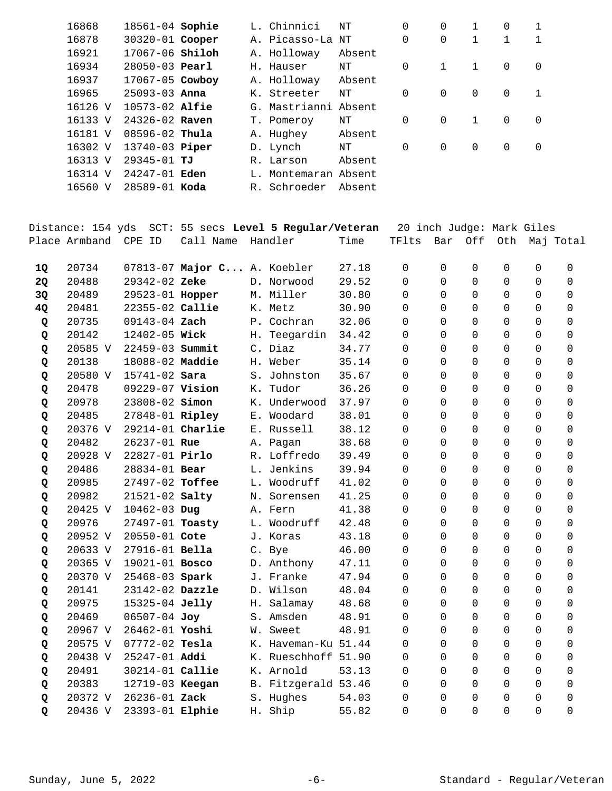| 16868   | $18561 - 04$ Sophie    |  | L. Chinnici          | NΤ     | $\Omega$ | $\Omega$     | $\mathbf{1}$ | $\Omega$ |          |
|---------|------------------------|--|----------------------|--------|----------|--------------|--------------|----------|----------|
| 16878   | 30320-01 Cooper        |  | A. Picasso-La NT     |        | $\Omega$ | $\Omega$     | 1            |          |          |
| 16921   | 17067-06 <b>Shiloh</b> |  | A. Holloway          | Absent |          |              |              |          |          |
| 16934   | $28050 - 03$ Pearl     |  | H. Hauser            | NΤ     | $\Omega$ | $\mathbf{1}$ | 1            | $\Omega$ | 0        |
| 16937   | 17067-05 Cowboy        |  | A. Holloway          | Absent |          |              |              |          |          |
| 16965   | $25093 - 03$ Anna      |  | K. Streeter          | NΤ     | $\Omega$ | $\Omega$     | $\Omega$     | $\Omega$ | 1        |
| 16126 V | $10573 - 02$ Alfie     |  | G. Mastrianni Absent |        |          |              |              |          |          |
| 16133 V | $24326 - 02$ Raven     |  | T. Pomeroy           | NΤ     | $\Omega$ | $\Omega$     | 1            | $\Omega$ | $\Omega$ |
| 16181 V | $08596 - 02$ Thula     |  | A. Hughey            | Absent |          |              |              |          |          |
| 16302 V | 13740-03 <b>Piper</b>  |  | D. Lynch             | NΤ     | $\Omega$ | $\Omega$     | $\Omega$     | $\Omega$ | $\Omega$ |
| 16313 V | 29345-01 TJ            |  | R. Larson            | Absent |          |              |              |          |          |
| 16314 V | 24247-01 <b>Eden</b>   |  | L. Montemaran Absent |        |          |              |              |          |          |
| 16560 V | $28589 - 01$ Koda      |  | R. Schroeder         | Absent |          |              |              |          |          |
|         |                        |  |                      |        |          |              |              |          |          |

|           | Distance: 154 yds |                                       |                             | SCT: 55 secs Level 5 Regular/Veteran |                |               |                      |                            | 20 inch Judge: Mark Giles  |                      |                      |
|-----------|-------------------|---------------------------------------|-----------------------------|--------------------------------------|----------------|---------------|----------------------|----------------------------|----------------------------|----------------------|----------------------|
|           | Place Armband     | CPE ID                                | Call Name                   | Handler                              | Time           | TFlts         | Bar                  | Off                        | Oth                        |                      | Maj Total            |
|           | 20734             |                                       | 07813-07 Major C A. Koebler |                                      | 27.18          | $\Omega$      | $\Omega$             | $\Omega$                   | $\Omega$                   | $\Omega$             | $\Omega$             |
| <b>1Q</b> | 20488             | 29342-02 Zeke                         |                             | D. Norwood                           | 29.52          | $\Omega$      | $\mathbf 0$          | 0                          | $\mathbf 0$                | $\Omega$             | $\Omega$             |
| 2Q        | 20489             |                                       |                             | M. Miller                            | 30.80          | $\Omega$      | $\Omega$             |                            | $\Omega$                   | $\Omega$             | $\Omega$             |
| 3Q        |                   | 29523-01 Hopper<br>22355-02 Callie    |                             | K. Metz                              | 30.90          |               | $\Omega$             | $\mathbf 0$                |                            | $\Omega$             |                      |
| 4Q        | 20481             |                                       |                             |                                      |                | $\Omega$      |                      | $\Omega$                   | $\Omega$                   |                      | $\Omega$             |
| Q         | 20735             | 09143-04 Zach                         |                             | P. Cochran                           | 32.06          | 0             | $\Omega$<br>$\Omega$ | $\overline{0}$<br>$\Omega$ | $\mathbf 0$<br>$\Omega$    | $\Omega$<br>$\Omega$ | $\Omega$<br>$\Omega$ |
| Q         | 20142<br>20585 V  | 12402-05 Wick<br>22459-03 Summit      |                             | H. Teegardin<br>C. Diaz              | 34.42          | 0             | $\Omega$             | 0                          | $\Omega$                   | $\overline{0}$       | $\Omega$             |
| Q         |                   |                                       |                             |                                      | 34.77          | 0<br>$\Omega$ | $\Omega$             | $\Omega$                   | $\Omega$                   | $\Omega$             | $\Omega$             |
| Q         | 20138             | 18088-02 Maddie<br>$15741 - 02$ Sara  |                             | H. Weber                             | 35.14          |               | $\Omega$             |                            |                            | $\Omega$             |                      |
| Q         | 20580 V<br>20478  | 09229-07 Vision                       |                             | S. Johnston<br>K. Tudor              | 35.67<br>36.26 | 0             | $\Omega$             | 0<br>0                     | $\mathbf 0$                | 0                    | 0<br>$\Omega$        |
| Q         |                   | 23808-02 Simon                        |                             |                                      |                | 0<br>$\Omega$ | $\Omega$             | $\Omega$                   | $\mathbf 0$<br>$\Omega$    | $\Omega$             | $\Omega$             |
| Q         | 20978             |                                       |                             | K. Underwood<br>E. Woodard           | 37.97          |               | $\Omega$             |                            |                            | $\Omega$             | $\Omega$             |
| Q         | 20485<br>20376 V  | 27848-01 Ripley<br>$29214-01$ Charlie |                             | E. Russell                           | 38.01<br>38.12 | 0<br>$\Omega$ | $\Omega$             | $\mathbf 0$                | $\mathbf 0$                | $\Omega$             | $\Omega$             |
| Q         | 20482             | 26237-01 Rue                          |                             | A. Pagan                             | 38.68          | $\Omega$      | $\Omega$             | $\mathbf 0$<br>$\Omega$    | $\mathbf 0$<br>$\mathbf 0$ | $\Omega$             | $\Omega$             |
| Q<br>Q    | 20928 V           | 22827-01 Pirlo                        |                             | R. Loffredo                          | 39.49          | 0             | $\Omega$             | $\mathbf 0$                | $\mathbf 0$                | 0                    | $\Omega$             |
| Q         | 20486             | 28834-01 Bear                         |                             | L. Jenkins                           | 39.94          | $\Omega$      | $\Omega$             | 0                          | $\mathbf 0$                | $\Omega$             | $\Omega$             |
|           | 20985             | 27497-02 Toffee                       |                             | L. Woodruff                          | 41.02          | $\Omega$      | $\Omega$             | $\Omega$                   | $\Omega$                   | $\Omega$             | $\Omega$             |
| Q         | 20982             | $21521 - 02$ Salty                    |                             | N. Sorensen                          | 41.25          | $\Omega$      | $\Omega$             | $\mathbf 0$                | $\mathbf 0$                | $\Omega$             | $\Omega$             |
| Q<br>Q    | 20425 V           | 10462-03 Dug                          |                             | A. Fern                              | 41.38          | $\Omega$      | $\Omega$             | $\Omega$                   | $\Omega$                   | $\Omega$             | $\Omega$             |
| Q         | 20976             | 27497-01 Toasty                       |                             | L. Woodruff                          | 42.48          | $\Omega$      | $\Omega$             | $\Omega$                   | $\Omega$                   | $\Omega$             | $\Omega$             |
| Q         | 20952 V           | 20550-01 Cote                         |                             | J. Koras                             | 43.18          | $\Omega$      | $\Omega$             | $\Omega$                   | $\Omega$                   | $\Omega$             | $\Omega$             |
| Q         | 20633 V           | 27916-01 Bella                        |                             | C. Bye                               | 46.00          | $\Omega$      | $\Omega$             | $\Omega$                   | $\Omega$                   | $\Omega$             | $\Omega$             |
| Q         | 20365 V           | 19021-01 Bosco                        |                             | D. Anthony                           | 47.11          | $\Omega$      | $\Omega$             | $\Omega$                   | $\Omega$                   | $\Omega$             | $\Omega$             |
| Q         | 20370 V           | 25468-03 Spark                        |                             | J. Franke                            | 47.94          | $\Omega$      | $\Omega$             | $\Omega$                   | $\Omega$                   | $\Omega$             | $\Omega$             |
| Q         | 20141             | $23142-02$ Dazzle                     |                             | D. Wilson                            | 48.04          | $\Omega$      | $\Omega$             | 0                          | $\mathbf 0$                | $\Omega$             | $\Omega$             |
| Q         | 20975             | 15325-04 Jelly                        |                             | H. Salamay                           | 48.68          | $\Omega$      | $\Omega$             | $\Omega$                   | $\Omega$                   | $\Omega$             | $\Omega$             |
| Q         | 20469             | 06507-04 Joy                          |                             | S. Amsden                            | 48.91          | $\Omega$      | $\Omega$             | $\Omega$                   | $\Omega$                   | $\Omega$             | $\Omega$             |
| Q         | 20967 V           | 26462-01 Yoshi                        |                             | W. Sweet                             | 48.91          | $\mathbf 0$   | $\Omega$             | $\overline{0}$             | $\mathbf 0$                | $\Omega$             | $\Omega$             |
| Q         | 20575 V           | 07772-02 Tesla                        |                             | K. Haveman-Ku 51.44                  |                | $\Omega$      | $\Omega$             | $\Omega$                   | $\Omega$                   | $\Omega$             | $\Omega$             |
| Q         | 20438 V           | 25247-01 Addi                         |                             | K. Rueschhoff 51.90                  |                | $\Omega$      | $\Omega$             | $\Omega$                   | $\Omega$                   | $\Omega$             | $\Omega$             |
| Q         | 20491             | 30214-01 Callie                       |                             | K. Arnold                            | 53.13          | 0             | $\Omega$             | $\overline{0}$             | $\mathbf 0$                | $\Omega$             | 0                    |
| Q         | 20383             | 12719-03 Keegan                       |                             | B. Fitzgerald 53.46                  |                | $\Omega$      | $\Omega$             | $\overline{0}$             | $\mathbf 0$                | $\Omega$             | $\Omega$             |
| Q         | 20372 V           | 26236-01 Zack                         |                             | S. Hughes                            | 54.03          | $\Omega$      | $\Omega$             | $\mathbf 0$                | $\Omega$                   | $\Omega$             | $\Omega$             |
| Q         | 20436 V           | 23393-01 Elphie                       |                             | H. Ship                              | 55.82          | $\Omega$      | $\Omega$             | $\Omega$                   | $\Omega$                   | $\Omega$             | $\Omega$             |
|           |                   |                                       |                             |                                      |                |               |                      |                            |                            |                      |                      |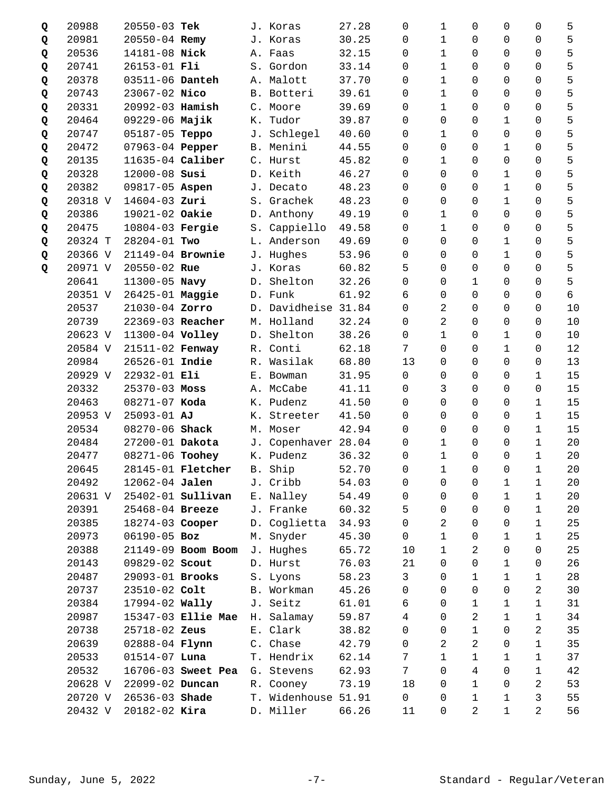| Q | 20988   | 20550-03 Tek      |                          |    | J. Koras            | 27.28 | 0                   | $\mathbf 1$    | 0              | 0                   | 0           | 5  |
|---|---------|-------------------|--------------------------|----|---------------------|-------|---------------------|----------------|----------------|---------------------|-------------|----|
| Q | 20981   | 20550-04 Remy     |                          |    | J. Koras            | 30.25 | $\mathbf 0$         | $\mathbf 1$    | 0              | 0                   | 0           | 5  |
| Q | 20536   | 14181-08 Nick     |                          |    | A. Faas             | 32.15 | 0                   | $\mathbf 1$    | 0              | 0                   | $\Omega$    | 5  |
| Q | 20741   | 26153-01 Fli      |                          |    | S. Gordon           | 33.14 | 0                   | $\mathbf 1$    | 0              | 0                   | 0           | 5  |
| Q | 20378   | 03511-06 Danteh   |                          |    | A. Malott           | 37.70 | 0                   | $\mathbf 1$    | 0              | 0                   | 0           | 5  |
| Q | 20743   | 23067-02 Nico     |                          |    | B. Botteri          | 39.61 | 0                   | 1              | 0              | 0                   | 0           | 5  |
| Q | 20331   | 20992-03 Hamish   |                          |    | C. Moore            | 39.69 | 0                   | $\mathbf{1}$   | 0              | 0                   | 0           | 5  |
| Q | 20464   | 09229-06 Majik    |                          | К. | Tudor               | 39.87 | 0                   | 0              | $\overline{0}$ | 1                   | 0           | 5  |
| Q | 20747   | 05187-05 Teppo    |                          |    | J. Schlegel         | 40.60 | 0                   | 1              | 0              | 0                   | 0           | 5  |
| Q | 20472   | 07963-04 Pepper   |                          |    | B. Menini           | 44.55 | $\Omega$            | $\Omega$       | 0              | 1                   | 0           | 5  |
| Q | 20135   | 11635-04 Caliber  |                          |    | C. Hurst            | 45.82 | 0                   | $\mathbf 1$    | 0              | 0                   | 0           | 5  |
| Q | 20328   | 12000-08 Susi     |                          |    | D. Keith            | 46.27 | 0                   | 0              | 0              | 1                   | 0           | 5  |
| Q | 20382   | 09817-05 Aspen    |                          |    | J. Decato           | 48.23 | 0                   | 0              | 0              | $\mathbf 1$         | 0           | 5  |
| Q | 20318 V | 14604-03 Zuri     |                          | S. | Grachek             | 48.23 | 0                   | $\mathbf 0$    | 0              | 1                   | 0           | 5  |
| Q | 20386   | 19021-02 Oakie    |                          |    | D. Anthony          | 49.19 | $\Omega$            | $\mathbf{1}$   | 0              | 0                   | 0           | 5  |
| Q | 20475   | 10804-03 Fergie   |                          |    | S. Cappiello        | 49.58 | 0                   | $\mathbf{1}$   | 0              | 0                   | 0           | 5  |
| Q | 20324 T | 28204-01 Two      |                          |    | L. Anderson         | 49.69 | $\Omega$            | $\Omega$       | $\mathbf 0$    | 1                   | 0           | 5  |
| Q | 20366 V | 21149-04 Brownie  |                          |    | J. Hughes           | 53.96 | 0                   | $\Omega$       | 0              | 1                   | 0           | 5  |
| Q | 20971 V | 20550-02 Rue      |                          |    | J. Koras            | 60.82 | 5                   | $\Omega$       | 0              | 0                   | $\Omega$    | 5  |
|   | 20641   | 11300-05 Navy     |                          |    | D. Shelton          | 32.26 | 0                   | $\Omega$       | 1              | 0                   | 0           | 5  |
|   | 20351 V | 26425-01 Maggie   |                          |    | D. Funk             | 61.92 | 6                   | 0              | $\overline{0}$ | 0                   | 0           | б  |
|   | 20537   | 21030-04 Zorro    |                          |    | D. Davidheise 31.84 |       | $\Omega$            | $\overline{a}$ | 0              | 0                   | 0           | 10 |
|   | 20739   | 22369-03 Reacher  |                          |    | M. Holland          | 32.24 | 0                   | 2              | 0              | 0                   | 0           | 10 |
|   | 20623 V | 11300-04 Volley   |                          |    | D. Shelton          | 38.26 | 0                   | $\mathbf 1$    | 0              | 1                   | 0           | 10 |
|   | 20584 V | 21511-02 Fenway   |                          |    | R. Conti            | 62.18 | $\overline{7}$      | 0              | $\overline{0}$ | 1                   | 0           | 12 |
|   | 20984   | 26526-01 Indie    |                          |    | R. Wasilak          | 68.80 | 13                  | $\Omega$       | 0              | 0                   | 0           | 13 |
|   | 20929 V | 22932-01 Eli      |                          |    | E. Bowman           | 31.95 | 0                   | $\Omega$       | 0              | 0                   | 1           | 15 |
|   | 20332   | $25370 - 03$ Moss |                          |    | A. McCabe           | 41.11 | 0                   | 3              | 0              | 0                   | 0           | 15 |
|   | 20463   | 08271-07 Koda     |                          |    | K. Pudenz           | 41.50 | 0                   | 0              | 0              | 0                   | $\mathbf 1$ | 15 |
|   | 20953 V | 25093-01 AJ       |                          | К. | Streeter            | 41.50 | 0                   | $\Omega$       | 0              | 0                   | $\mathbf 1$ | 15 |
|   | 20534   | 08270-06 Shack    |                          |    | M. Moser            | 42.94 | $\Omega$            | 0              | 0              | 0                   | $\mathbf 1$ | 15 |
|   | 20484   | 27200-01 Dakota   |                          |    | J. Copenhaver 28.04 |       | 0                   | 1              | 0              | 0                   | 1           | 20 |
|   | 20477   | 08271-06 Toohey   |                          |    | K. Pudenz           | 36.32 | 0                   | $\mathbf 1$    | $\mathbf 0$    | 0                   | 1           | 20 |
|   | 20645   |                   | 28145-01 Fletcher        | Β. | Ship                | 52.70 | $\mathsf{O}\xspace$ | $\mathbf 1$    | $\overline{0}$ | $\mathsf{O}\xspace$ | $\mathbf 1$ | 20 |
|   | 20492   | 12062-04 Jalen    |                          | J. | Cribb               | 54.03 | 0                   | 0              | 0              | 1                   | 1           | 20 |
|   | 20631 V |                   | 25402-01 <b>Sullivan</b> |    | E. Nalley           | 54.49 | 0                   | $\Omega$       | 0              | 1                   | 1           | 20 |
|   | 20391   | 25468-04 Breeze   |                          |    | J. Franke           | 60.32 | 5                   | $\Omega$       | 0              | 0                   | $\mathbf 1$ | 20 |
|   | 20385   | 18274-03 Cooper   |                          |    | D. Coglietta        | 34.93 | $\Omega$            | 2              | 0              | 0                   | 1           | 25 |
|   | 20973   | 06190-05 Boz      |                          | М. | Snyder              | 45.30 | $\Omega$            | $\mathbf{1}$   | 0              | 1                   | 1           | 25 |
|   | 20388   |                   | 21149-09 Boom Boom       |    | J. Hughes           | 65.72 | 10                  | $\mathbf 1$    | 2              | 0                   | 0           | 25 |
|   | 20143   | 09829-02 Scout    |                          |    | D. Hurst            | 76.03 | 21                  | $\mathbf 0$    | $\overline{0}$ | 1                   | 0           | 26 |
|   | 20487   | 29093-01 Brooks   |                          |    | S. Lyons            | 58.23 | 3                   | $\Omega$       | 1              | 1                   | $\mathbf 1$ | 28 |
|   | 20737   | 23510-02 Colt     |                          |    | B. Workman          | 45.26 | 0                   | $\Omega$       | $\overline{0}$ | 0                   | 2           | 30 |
|   | 20384   | 17994-02 Wally    |                          |    | J. Seitz            | 61.01 | 6                   | $\Omega$       | 1              | 1                   | 1           | 31 |
|   | 20987   |                   | 15347-03 Ellie Mae       |    | H. Salamay          | 59.87 | 4                   | $\Omega$       | 2              | 1                   | $\mathbf 1$ | 34 |
|   | 20738   | 25718-02 Zeus     |                          |    | E. Clark            | 38.82 | $\mathbf 0$         | 0              | $\mathbf 1$    | 0                   | 2           | 35 |
|   | 20639   | 02888-04 Flynn    |                          |    | C. Chase            | 42.79 | 0                   | 2              | 2              | 0                   | 1           | 35 |
|   | 20533   | $01514-07$ Luna   |                          |    | T. Hendrix          | 62.14 | 7                   | $\mathbf{1}$   | 1              | 1                   | 1           | 37 |
|   | 20532   |                   | 16706-03 Sweet Pea       |    | G. Stevens          | 62.93 | 7                   | $\Omega$       | 4              | 0                   | $\mathbf 1$ | 42 |
|   | 20628 V | 22099-02 Duncan   |                          |    | R. Cooney           | 73.19 | 18                  | 0              | 1              | 0                   | 2           | 53 |
|   | 20720 V | 26536-03 Shade    |                          | Т. | Widenhouse 51.91    |       | 0                   | $\Omega$       | 1              | 1                   | 3           | 55 |
|   | 20432 V | $20182 - 02$ Kira |                          |    | D. Miller           | 66.26 | 11                  | 0              | 2              | $\mathbf 1$         | 2           | 56 |
|   |         |                   |                          |    |                     |       |                     |                |                |                     |             |    |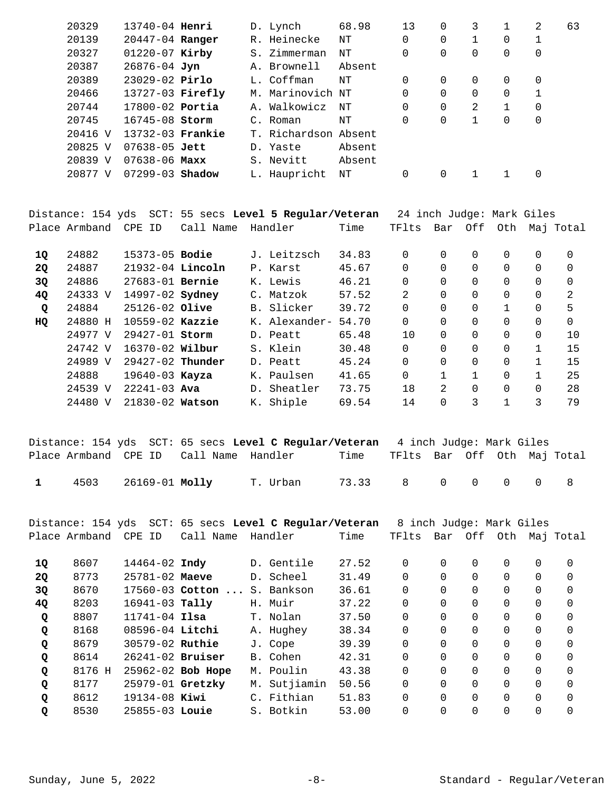| 20329   | 13740-04 <b>Henri</b> |  | D. Lynch             | 68.98  | 13       | 0        | 3        |   | 2. | 63 |
|---------|-----------------------|--|----------------------|--------|----------|----------|----------|---|----|----|
| 20139   | 20447-04 Ranger       |  | R. Heinecke          | NΤ     | 0        | 0        |          | 0 |    |    |
| 20327   | $01220 - 07$ Kirby    |  | S. Zimmerman         | NΤ     | 0        | 0        | 0        | 0 | 0  |    |
| 20387   | $26876 - 04$ Jyn      |  | A. Brownell          | Absent |          |          |          |   |    |    |
| 20389   | $23029 - 02$ Pirlo    |  | L. Coffman           | NΤ     | $\Omega$ | 0        | $\Omega$ | 0 | 0  |    |
| 20466   | $13727-03$ Firefly    |  | M. Marinovich NT     |        | 0        | 0        |          | 0 |    |    |
| 20744   | $17800 - 02$ Portia   |  | A. Walkowicz         | NΤ     | 0        | 0        | 2        |   | 0  |    |
| 20745   | 16745-08 Storm        |  | C. Roman             | NΤ     | 0        | $\Omega$ | 1        | 0 | 0  |    |
| 20416 V | 13732-03 Frankie      |  | T. Richardson Absent |        |          |          |          |   |    |    |
| 20825 V | $07638 - 05$ Jett     |  | D. Yaste             | Absent |          |          |          |   |    |    |
| 20839 V | $07638 - 06$ Maxx     |  | S. Nevitt            | Absent |          |          |          |   |    |    |
| 20877 V | $07299 - 03$ Shadow   |  | L. Haupricht         | NΤ     | 0        | 0        |          |   | 0  |    |
|         |                       |  |                      |        |          |          |          |   |    |    |

|             |               |                     |           | Distance: 154 yds  SCT: 55 secs <b>Level 5 Reqular/Veteran</b> |       | 24 inch Judge: Mark Giles |          |          |              |          |           |
|-------------|---------------|---------------------|-----------|----------------------------------------------------------------|-------|---------------------------|----------|----------|--------------|----------|-----------|
|             | Place Armband | CPE ID              | Call Name | Handler                                                        | Time  | TFlts                     | Bar      | Off      | Oth          |          | Maj Total |
| 10          | 24882         | $15373 - 05$ Bodie  |           | J. Leitzsch                                                    | 34.83 | $\Omega$                  | $\Omega$ | $\Omega$ | 0            | $\Omega$ | $\Omega$  |
| <b>2Q</b>   | 24887         | $21932-04$ Lincoln  |           | P. Karst                                                       | 45.67 | $\Omega$                  | $\Omega$ | $\Omega$ | 0            | $\Omega$ | $\Omega$  |
| 3Q          | 24886         | $27683 - 01$ Bernie |           | K. Lewis                                                       | 46.21 | $\Omega$                  | $\Omega$ | $\Omega$ | 0            | 0        | 0         |
| 4Q          | 24333 V       | 14997-02 Sydney     |           | C. Matzok                                                      | 57.52 | 2                         | $\Omega$ | $\Omega$ | 0            | 0        | 2         |
| $\mathbf Q$ | 24884         | 25126-02 Olive      |           | B. Slicker                                                     | 39.72 | $\Omega$                  | $\Omega$ | $\Omega$ | $\mathbf{1}$ | $\Omega$ | 5         |
| HQ          | 24880 H       | $10559-02$ Kazzie   |           | K. Alexander-                                                  | 54.70 | $\overline{0}$            | $\Omega$ | $\Omega$ | 0            | 0        | $\Omega$  |
|             | 24977 V       | $29427 - 01$ Storm  |           | D. Peatt                                                       | 65.48 | 10                        | $\Omega$ | $\Omega$ | 0            | $\Omega$ | 10        |
|             | 24742 V       | 16370-02 Wilbur     |           | S. Klein                                                       | 30.48 | $\Omega$                  | $\Omega$ | $\Omega$ | 0            |          | 15        |
|             | 24989 V       | $29427-02$ Thunder  |           | D. Peatt                                                       | 45.24 | $\Omega$                  | $\Omega$ | $\Omega$ | $\Omega$     | 1        | 15        |
|             | 24888         | $19640 - 03$ Kayza  |           | K. Paulsen                                                     | 41.65 | 0                         |          | 1        | 0            |          | 25        |
|             | 24539 V       | $22241 - 03$ Ava    |           | D. Sheatler                                                    | 73.75 | 18                        | 2.       | $\Omega$ | 0            | $\Omega$ | 28        |
|             | 24480 V       | 21830-02 Watson     |           | K. Shiple                                                      | 69.54 | 14                        | 0        | 3        |              | 3        | 79        |
|             |               |                     |           |                                                                |       |                           |          |          |              |          |           |

|              |                     |                                        | Distance: 154 yds SCT: 65 secs Level C Reqular/Veteran 4 inch Judge: Mark Giles |                                  |  |  |  |
|--------------|---------------------|----------------------------------------|---------------------------------------------------------------------------------|----------------------------------|--|--|--|
|              |                     | Place Armband CPE ID Call Name Handler |                                                                                 | Time TFlts Bar Off Oth Maj-Total |  |  |  |
| $\mathbf{1}$ | 4503 26169-01 Molly |                                        | T. Urban                                                                        | 73.33 8 0 0 0 0 8                |  |  |  |

Distance: 154 yds SCT: 65 secs **Level C Regular/Veteran** 8 inch Judge: Mark Giles Place Armband CPE ID Call Name Handler Time TFlts Bar Off Oth Maj Total 8607 14464-02 D. Gentile 27.52 0 0 0 0 0 0 **1Q Indy**  8773 25781-02 D. Scheel 31.49 0 0 0 0 0 0 **2Q Maeve 30** 8670 17560-03 **Cotton ...** S. Bankson 36.61 0 0 0 0 0 0 0 0 8203 16941-03 H. Muir 37.22 0 0 0 0 0 0 **4Q Tally**  8807 11741-04 T. Nolan 37.50 0 0 0 0 0 0 **Q Ilsa**  8168 08596-04 A. Hughey 38.34 0 0 0 0 0 0 **Q Litchi**  8679 30579-02 J. Cope 39.39 0 0 0 0 0 0 **Q Ruthie**  Q 8614 26241-02 **Bruiser** B. Cohen 42.31 0 0 0 0 0 0 0 8176 H 25962-02 M. Poulin 43.38 0 0 0 0 0 0 **Q Bob Hope**  8177 25979-01 M. Sutjiamin 50.56 0 0 0 0 0 0 **Q Gretzky**  8612 19134-08 C. Fithian 51.83 0 0 0 0 0 0 **Q Kiwi**  8530 25855-03 S. Botkin 53.00 0 0 0 0 0 0 **Q Louie**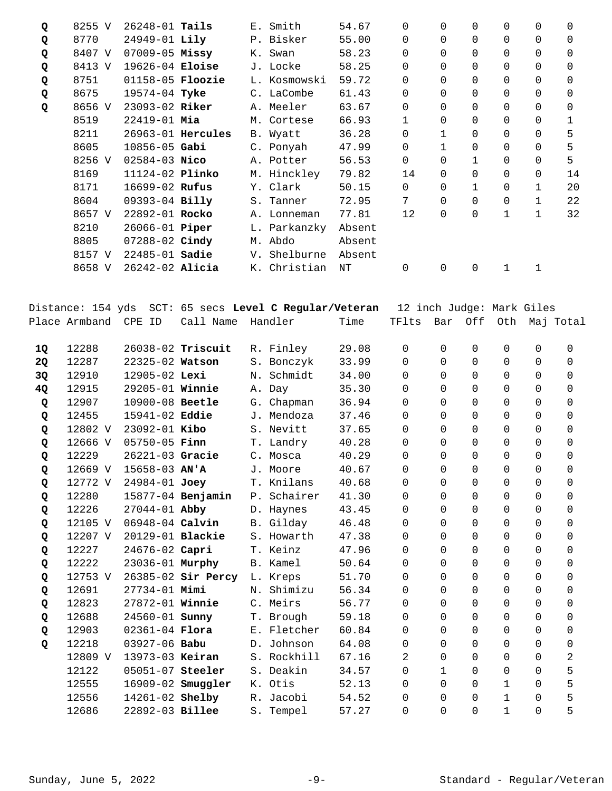| Q | 8255 V | $26248 - 01$ Tails     |                   |    | E. Smith     | 54.67  | 0           | $\Omega$     | 0            | 0           | 0           | 0        |
|---|--------|------------------------|-------------------|----|--------------|--------|-------------|--------------|--------------|-------------|-------------|----------|
| Q | 8770   | $24949 - 01$ Lily      |                   |    | P. Bisker    | 55.00  | 0           | $\Omega$     | $\Omega$     | 0           | $\Omega$    | $\Omega$ |
| Q | 8407 V | $07009 - 05$ Missy     |                   |    | K. Swan      | 58.23  | 0           | $\Omega$     | $\Omega$     | 0           | $\mathbf 0$ | 0        |
| Q | 8413 V | 19626-04 Eloise        |                   |    | J. Locke     | 58.25  | 0           | $\Omega$     | $\Omega$     | 0           | $\mathbf 0$ | 0        |
| Q | 8751   | $01158-05$ Floozie     |                   |    | L. Kosmowski | 59.72  | 0           | $\Omega$     | $\Omega$     | 0           | 0           | $\Omega$ |
| Q | 8675   | $19574 - 04$ Tyke      |                   |    | C. LaCombe   | 61.43  | 0           | $\Omega$     | $\Omega$     | 0           | 0           | 0        |
| Q | 8656 V | 23093-02 Riker         |                   |    | A. Meeler    | 63.67  | 0           | $\Omega$     | 0            | 0           | 0           | 0        |
|   | 8519   | $22419 - 01$ Mia       |                   |    | M. Cortese   | 66.93  | 1           | $\Omega$     | $\Omega$     | 0           | 0           | 1        |
|   | 8211   |                        | 26963-01 Hercules |    | B. Wyatt     | 36.28  | 0           | $\mathbf{1}$ | 0            | 0           | 0           | 5        |
|   | 8605   | 10856-05 Gabi          |                   |    | C. Ponyah    | 47.99  | 0           | 1            | 0            | 0           | 0           | 5        |
|   | 8256 V | $02584 - 03$ Nico      |                   |    | A. Potter    | 56.53  | 0           | 0            | $\mathbf{1}$ | 0           | 0           | 5        |
|   | 8169   | 11124-02 <b>Plinko</b> |                   |    | M. Hinckley  | 79.82  | 14          | $\Omega$     | $\Omega$     | 0           | 0           | 14       |
|   | 8171   | 16699-02 Rufus         |                   |    | Y. Clark     | 50.15  | $\mathbf 0$ | $\Omega$     | 1            | 0           | 1           | 20       |
|   | 8604   | 09393-04 Billy         |                   |    | S. Tanner    | 72.95  | 7           | $\Omega$     | $\Omega$     | 0           | 1           | 22       |
|   | 8657 V | 22892-01 Rocko         |                   |    | A. Lonneman  | 77.81  | 12          | $\Omega$     | $\Omega$     | $\mathbf 1$ | $\mathbf 1$ | 32       |
|   | 8210   | 26066-01 <b>Piper</b>  |                   |    | L. Parkanzky | Absent |             |              |              |             |             |          |
|   | 8805   | 07288-02 Cindy         |                   |    | M. Abdo      | Absent |             |              |              |             |             |          |
|   | 8157 V | $22485 - 01$ Sadie     |                   | V. | Shelburne    | Absent |             |              |              |             |             |          |
|   | 8658 V | $26242 - 02$ Alicia    |                   |    | K. Christian | ΝT     | 0           | 0            | 0            | 1           | 1           |          |

|    |                      |                        | Distance: 154 yds  SCT: 65 secs <b>Level C Regular/Veteran</b> |             |       | 12 inch Judge: Mark Giles |              |             |              |             |              |
|----|----------------------|------------------------|----------------------------------------------------------------|-------------|-------|---------------------------|--------------|-------------|--------------|-------------|--------------|
|    | Place Armband CPE ID |                        | Call Name                                                      | Handler     | Time  | TFlts                     | Bar          | Off         | Oth          |             | Maj Total    |
| 1Q | 12288                |                        | 26038-02 Triscuit                                              | R. Finley   | 29.08 | $\mathbf 0$               | $\Omega$     | $\mathbf 0$ | $\mathbf 0$  | $\mathbf 0$ | 0            |
| 2Q | 12287                | 22325-02 Watson        |                                                                | S. Bonczyk  | 33.99 | $\Omega$                  | $\Omega$     | $\mathbf 0$ | 0            | $\Omega$    | $\Omega$     |
| 3Q | 12910                | 12905-02 Lexi          |                                                                | N. Schmidt  | 34.00 | $\Omega$                  | $\Omega$     | $\Omega$    | $\mathbf 0$  | $\Omega$    | $\Omega$     |
| 4Q | 12915                | 29205-01 Winnie        |                                                                | A. Day      | 35.30 | $\Omega$                  | $\Omega$     | $\Omega$    | $\Omega$     | $\Omega$    | $\Omega$     |
| Q  | 12907                | 10900-08 Beetle        |                                                                | G. Chapman  | 36.94 | $\Omega$                  | $\Omega$     | $\Omega$    | $\mathbf 0$  | $\Omega$    | 0            |
| Q  | 12455                | 15941-02 Eddie         |                                                                | J. Mendoza  | 37.46 | $\Omega$                  | $\Omega$     | $\Omega$    | 0            | $\Omega$    | $\Omega$     |
| Q  | 12802 V              | 23092-01 Kibo          |                                                                | S. Nevitt   | 37.65 | $\Omega$                  | $\Omega$     | $\Omega$    | $\Omega$     | $\Omega$    | $\Omega$     |
| Q  | 12666 V              | $05750 - 05$ Finn      |                                                                | T. Landry   | 40.28 | $\Omega$                  | $\Omega$     | $\Omega$    | $\Omega$     | $\Omega$    | $\Omega$     |
| Q  | 12229                | 26221-03 Gracie        |                                                                | C. Mosca    | 40.29 | $\Omega$                  | $\Omega$     | $\Omega$    | 0            | $\Omega$    | $\Omega$     |
| Q  | 12669 V              | $15658 - 03$ AN'A      |                                                                | J. Moore    | 40.67 | $\Omega$                  | $\Omega$     | $\mathbf 0$ | 0            | $\Omega$    | $\mathsf{O}$ |
| Q  | 12772 V              | 24984-01 Joey          |                                                                | T. Knilans  | 40.68 | $\Omega$                  | $\Omega$     | $\Omega$    | $\Omega$     | $\Omega$    | $\Omega$     |
| Q  | 12280                |                        | 15877-04 Benjamin                                              | P. Schairer | 41.30 | $\Omega$                  | $\Omega$     | $\Omega$    | $\Omega$     | $\Omega$    | 0            |
| Q  | 12226                | 27044-01 Abby          |                                                                | D. Haynes   | 43.45 | $\Omega$                  | $\Omega$     | $\Omega$    | 0            | $\Omega$    | $\Omega$     |
| Q  | 12105 V              | 06948-04 Calvin        |                                                                | B. Gilday   | 46.48 | $\Omega$                  | $\Omega$     | $\Omega$    | 0            | $\Omega$    | 0            |
| Q  | 12207 V              | 20129-01 Blackie       |                                                                | S. Howarth  | 47.38 | $\Omega$                  | $\Omega$     | $\Omega$    | $\Omega$     | $\Omega$    | $\Omega$     |
| Q  | 12227                | 24676-02 Capri         |                                                                | T. Keinz    | 47.96 | $\Omega$                  | $\Omega$     | $\Omega$    | 0            | $\Omega$    | $\Omega$     |
| Q  | 12222                | 23036-01 Murphy        |                                                                | B. Kamel    | 50.64 | $\Omega$                  | $\Omega$     | $\mathbf 0$ | 0            | $\Omega$    | $\mathbf 0$  |
| Q  | 12753 V              |                        | 26385-02 Sir Percy                                             | L. Kreps    | 51.70 | $\Omega$                  | $\Omega$     | $\mathbf 0$ | 0            | $\Omega$    | $\Omega$     |
| Q  | 12691                | $27734 - 01$ Mimi      |                                                                | N. Shimizu  | 56.34 | $\Omega$                  | $\Omega$     | $\Omega$    | $\Omega$     | $\Omega$    | 0            |
| Q  | 12823                | 27872-01 Winnie        |                                                                | C. Meirs    | 56.77 | $\Omega$                  | $\Omega$     | $\Omega$    | $\Omega$     | $\Omega$    | $\Omega$     |
| Q  | 12688                | 24560-01 <b>Sunny</b>  |                                                                | T. Brough   | 59.18 | $\Omega$                  | $\Omega$     | $\Omega$    | 0            | $\Omega$    | $\mathbf 0$  |
| Q  | 12903                | 02361-04 Flora         |                                                                | E. Fletcher | 60.84 | $\Omega$                  | $\Omega$     | $\Omega$    | 0            | $\Omega$    | $\mathbf 0$  |
| Q  | 12218                | 03927-06 Babu          |                                                                | D. Johnson  | 64.08 | $\Omega$                  | $\Omega$     | $\Omega$    | $\Omega$     | $\Omega$    | 0            |
|    | 12809 V              | 13973-03 Keiran        |                                                                | S. Rockhill | 67.16 | 2                         | $\Omega$     | $\Omega$    | $\Omega$     | $\Omega$    | 2            |
|    | 12122                | 05051-07 Steeler       |                                                                | S. Deakin   | 34.57 | $\Omega$                  | $\mathbf{1}$ | $\Omega$    | 0            | $\Omega$    | 5            |
|    | 12555                |                        | 16909-02 Smuggler                                              | K. Otis     | 52.13 | $\Omega$                  | $\Omega$     | $\Omega$    | $\mathbf 1$  | $\Omega$    | 5            |
|    | 12556                | 14261-02 <b>Shelby</b> |                                                                | R. Jacobi   | 54.52 | $\Omega$                  | $\Omega$     | $\Omega$    | $\mathbf{1}$ | $\Omega$    | 5            |
|    | 12686                | 22892-03 Billee        |                                                                | S. Tempel   | 57.27 | $\Omega$                  | $\Omega$     | $\Omega$    | $\mathbf{1}$ | $\Omega$    | 5            |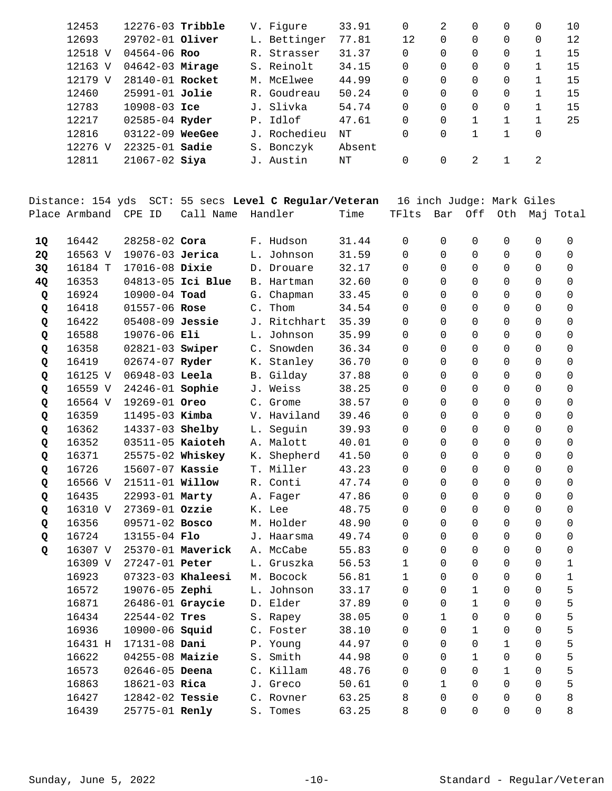| 12453   | $12276 - 03$ Tribble |             | V. Figure    | 33.91  | $\Omega$ | 2        |          | 0 | 0 | 10 |
|---------|----------------------|-------------|--------------|--------|----------|----------|----------|---|---|----|
| 12693   | 29702-01 Oliver      |             | L. Bettinger | 77.81  | 12       | 0        | $\Omega$ | 0 | 0 | 12 |
| 12518 V | $04564 - 06$ Roo     | $R_{\odot}$ | Strasser     | 31.37  | 0        | $\Omega$ | 0        | 0 |   | 15 |
| 12163 V | $04642 - 03$ Mirage  |             | S. Reinolt   | 34.15  | 0        | $\Omega$ |          | 0 |   | 15 |
| 12179 V | 28140-01 Rocket      |             | M. McElwee   | 44.99  | $\Omega$ | $\Omega$ |          | 0 |   | 15 |
| 12460   | 25991-01 Jolie       |             | R. Goudreau  | 50.24  | $\Omega$ | $\Omega$ | $\Omega$ | 0 |   | 15 |
| 12783   | $10908 - 03$ Ice     |             | J. Slivka    | 54.74  | $\Omega$ | $\Omega$ |          | 0 |   | 15 |
| 12217   | $02585 - 04$ Ryder   |             | P. Idlof     | 47.61  | 0        | $\Omega$ |          |   |   | 25 |
| 12816   | $03122 - 09$ WeeGee  |             | J. Rochedieu | NΤ     | 0        | $\Omega$ |          |   | 0 |    |
| 12276 V | $22325 - 01$ Sadie   |             | S. Bonczyk   | Absent |          |          |          |   |   |    |
| 12811   | $21067 - 02$ Siya    | J.          | Austin       | NΤ     | 0        | 0        | 2        |   | 2 |    |
|         |                      |             |              |        |          |          |          |   |   |    |

| Distance: 154 yds  SCT: 55 secs Level C Regular/Veteran  16 inch Judge: Mark Giles |  |      |  |  |                             |
|------------------------------------------------------------------------------------|--|------|--|--|-----------------------------|
| Place Armband CPE ID Call Name Handler                                             |  | Time |  |  | TFlts Bar Off Oth Maj-Total |

| 1Q | 16442   | $28258 - 02$ Cora      |                   |                | F. Hudson    | 31.44 | $\Omega$     | $\Omega$     | $\Omega$     | $\Omega$     | $\Omega$ | 0           |
|----|---------|------------------------|-------------------|----------------|--------------|-------|--------------|--------------|--------------|--------------|----------|-------------|
| 2Q | 16563 V | 19076-03 Jerica        |                   |                | L. Johnson   | 31.59 | $\Omega$     | $\mathbf 0$  | 0            | $\Omega$     | $\Omega$ | 0           |
|    | 16184 T | 17016-08 Dixie         |                   |                |              | 32.17 | $\Omega$     | $\Omega$     | $\Omega$     | $\Omega$     | $\Omega$ | 0           |
| 3Q | 16353   |                        | 04813-05 Ici Blue |                | D. Drouare   | 32.60 | $\Omega$     | $\Omega$     | $\Omega$     | $\Omega$     | $\Omega$ | 0           |
| 4Q |         |                        |                   |                | B. Hartman   |       |              |              |              |              |          |             |
| Q  | 16924   | $10900 - 04$ Toad      |                   |                | G. Chapman   | 33.45 | $\Omega$     | $\Omega$     | $\Omega$     | $\Omega$     | 0        | 0           |
| Q  | 16418   | 01557-06 Rose          |                   | $\mathsf{C}$ . | Thom         | 34.54 | $\Omega$     | $\Omega$     | $\Omega$     | $\Omega$     | 0        | 0           |
| Q  | 16422   | 05408-09 Jessie        |                   |                | J. Ritchhart | 35.39 | $\Omega$     | $\Omega$     | 0            | 0            | 0        | 0           |
| Q  | 16588   | 19076-06 Eli           |                   | L.             | Johnson      | 35.99 | 0            | $\Omega$     | 0            | 0            | 0        | 0           |
| Q  | 16358   | $02821-03$ Swiper      |                   |                | C. Snowden   | 36.34 | $\Omega$     | $\Omega$     | $\Omega$     | $\Omega$     | 0        | $\Omega$    |
| Q  | 16419   | 02674-07 Ryder         |                   |                | K. Stanley   | 36.70 | 0            | $\Omega$     | 0            | 0            | 0        | 0           |
| Q  | 16125 V | 06948-03 Leela         |                   |                | B. Gilday    | 37.88 | 0            | $\Omega$     | 0            | 0            | 0        | $\Omega$    |
| Q  | 16559 V | 24246-01 Sophie        |                   |                | J. Weiss     | 38.25 | $\Omega$     | $\Omega$     | 0            | 0            | 0        | 0           |
| Q  | 16564 V | 19269-01 Oreo          |                   | $\mathsf{C}$ . | Grome        | 38.57 | $\Omega$     | $\Omega$     | 0            | 0            | 0        | $\Omega$    |
| Q  | 16359   | 11495-03 Kimba         |                   |                | V. Haviland  | 39.46 | $\Omega$     | $\Omega$     | 0            | $\Omega$     | 0        | 0           |
| Q  | 16362   | 14337-03 Shelby        |                   | L.             | Seguin       | 39.93 | $\Omega$     | $\Omega$     | 0            | 0            | 0        | 0           |
| Q  | 16352   | 03511-05 Kaioteh       |                   |                | A. Malott    | 40.01 | $\Omega$     | $\Omega$     | 0            | 0            | $\Omega$ | 0           |
| Q  | 16371   | 25575-02 Whiskey       |                   | К.             | Shepherd     | 41.50 | 0            | $\Omega$     | 0            | 0            | 0        | 0           |
| Q  | 16726   | 15607-07 Kassie        |                   |                | T. Miller    | 43.23 | $\Omega$     | $\Omega$     | $\Omega$     | $\Omega$     | 0        | $\Omega$    |
| Q  | 16566 V | 21511-01 <b>Willow</b> |                   | $R_{\odot}$    | Conti        | 47.74 | $\Omega$     | $\Omega$     | $\Omega$     | $\Omega$     | 0        | $\Omega$    |
| Q  | 16435   | 22993-01 Marty         |                   |                | A. Fager     | 47.86 | $\Omega$     | $\Omega$     | $\Omega$     | $\Omega$     | $\Omega$ | $\Omega$    |
| Q  | 16310 V | 27369-01 Ozzie         |                   |                | K. Lee       | 48.75 | $\Omega$     | $\Omega$     | $\Omega$     | $\Omega$     | 0        | $\Omega$    |
| Q  | 16356   | 09571-02 Bosco         |                   |                | M. Holder    | 48.90 | $\Omega$     | $\Omega$     | $\Omega$     | $\Omega$     | 0        | $\Omega$    |
| Q  | 16724   | 13155-04 Flo           |                   |                | J. Haarsma   | 49.74 | $\Omega$     | $\Omega$     | $\Omega$     | $\Omega$     | 0        | 0           |
| Q  | 16307 V |                        | 25370-01 Maverick |                | A. McCabe    | 55.83 | $\Omega$     | $\Omega$     | $\Omega$     | 0            | 0        | 0           |
|    | 16309 V | 27247-01 Peter         |                   |                | L. Gruszka   | 56.53 | $\mathbf{1}$ | $\Omega$     | 0            | 0            | 0        | 1           |
|    | 16923   |                        | 07323-03 Khaleesi |                | M. Bocock    | 56.81 | $\mathbf{1}$ | $\Omega$     | 0            | 0            | 0        | $\mathbf 1$ |
|    | 16572   | 19076-05 Zephi         |                   |                | L. Johnson   | 33.17 | 0            | $\Omega$     | $\mathbf 1$  | 0            | 0        | 5           |
|    | 16871   | 26486-01 Graycie       |                   |                | D. Elder     | 37.89 | 0            | $\Omega$     | $\mathbf 1$  | 0            | 0        | 5           |
|    | 16434   | 22544-02 Tres          |                   |                | S. Rapey     | 38.05 | $\Omega$     | $\mathbf{1}$ | 0            | 0            | 0        | 5           |
|    | 16936   | 10900-06 <b>Squid</b>  |                   |                | C. Foster    | 38.10 | $\Omega$     | $\Omega$     | $\mathbf{1}$ | 0            | 0        | 5           |
|    | 16431 H | 17131-08 Dani          |                   |                | P. Young     | 44.97 | $\Omega$     | $\Omega$     | 0            | $\mathbf{1}$ | 0        | 5           |
|    | 16622   | 04255-08 Maizie        |                   | S.             | Smith        | 44.98 | $\Omega$     | $\Omega$     | $\mathbf{1}$ | 0            | $\Omega$ | 5           |
|    | 16573   | $02646 - 05$ Deena     |                   |                | C. Killam    | 48.76 | $\Omega$     | $\Omega$     | 0            | $\mathbf{1}$ | $\Omega$ | 5           |
|    | 16863   | 18621-03 Rica          |                   |                | J. Greco     | 50.61 | $\Omega$     | $\mathbf{1}$ | $\Omega$     | $\Omega$     | 0        | 5           |
|    | 16427   | 12842-02 Tessie        |                   |                | C. Rovner    | 63.25 | 8            | $\Omega$     | $\Omega$     | $\Omega$     | $\Omega$ | 8           |
|    | 16439   | 25775-01 Renly         |                   |                | S. Tomes     | 63.25 | 8            | $\Omega$     | $\Omega$     | $\Omega$     | $\Omega$ | 8           |
|    |         |                        |                   |                |              |       |              |              |              |              |          |             |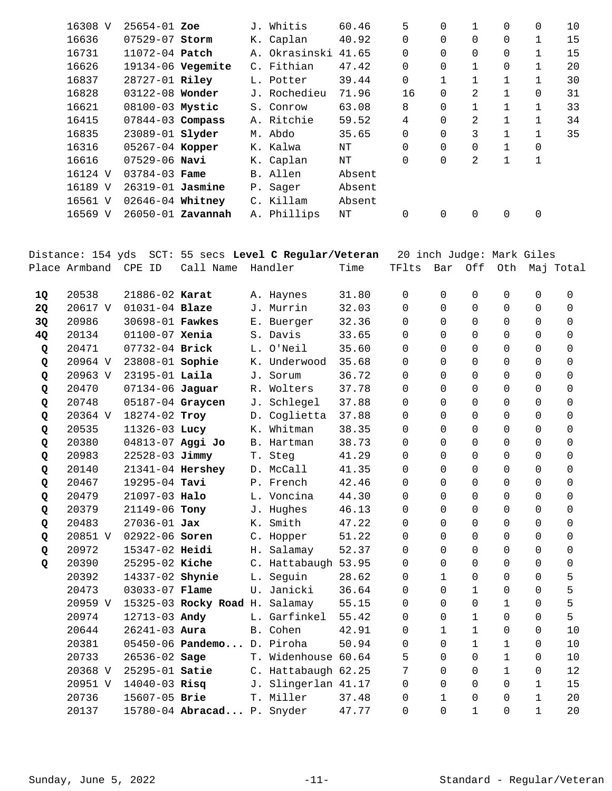| 16308 V | $25654 - 01$ Zoe       |                   | J. Whitis     | 60.46  | 5              | $\Omega$ | 1        | 0            | $\Omega$     | 10 |
|---------|------------------------|-------------------|---------------|--------|----------------|----------|----------|--------------|--------------|----|
| 16636   | 07529-07 Storm         |                   | K. Caplan     | 40.92  | 0              | $\Omega$ | $\Omega$ | 0            |              | 15 |
| 16731   | 11072-04 Patch         |                   | A. Okrasinski | 41.65  | 0              | $\Omega$ | $\Omega$ | 0            | 1            | 15 |
| 16626   | 19134-06 Vegemite      |                   | C. Fithian    | 47.42  | $\overline{0}$ | 0        | 1        | 0            |              | 20 |
| 16837   | 28727-01 Riley         |                   | L. Potter     | 39.44  | $\overline{0}$ |          | 1        | 1            |              | 30 |
| 16828   | 03122-08 Wonder        |                   | J. Rochedieu  | 71.96  | 16             | $\Omega$ | 2        | $\mathbf{1}$ | 0            | 31 |
| 16621   | 08100-03 Mystic        |                   | S. Conrow     | 63.08  | 8              | $\Omega$ |          | 1            | 1            | 33 |
| 16415   | $07844 - 03$ Compass   |                   | A. Ritchie    | 59.52  | 4              | $\Omega$ | 2        | $\mathbf{1}$ | $\mathbf{1}$ | 34 |
| 16835   | 23089-01 <b>slyder</b> |                   | M. Abdo       | 35.65  | $\overline{0}$ | $\Omega$ | 3        | 1            | 1            | 35 |
| 16316   | 05267-04 Kopper        |                   | K. Kalwa      | NΤ     | $\Omega$       | $\Omega$ | $\Omega$ | 1            | 0            |    |
| 16616   | $07529 - 06$ Navi      |                   | K. Caplan     | NΤ     | 0              | 0        | 2        | $\mathbf{1}$ | 1            |    |
| 16124 V | $03784 - 03$ Fame      |                   | B. Allen      | Absent |                |          |          |              |              |    |
| 16189 V | 26319-01 Jasmine       |                   | P. Sager      | Absent |                |          |          |              |              |    |
| 16561 V | 02646-04 Whitney       |                   | C. Killam     | Absent |                |          |          |              |              |    |
| 16569 V |                        | 26050-01 Zavannah | A. Phillips   | NΤ     | 0              | 0        | 0        | 0            | 0            |    |
|         |                        |                   |               |        |                |          |          |              |              |    |

|           | Distance: 154 yds |                    |                            |    | SCT: 55 secs Level C Regular/Veteran |       |                 |              |              | 20 inch Judge: Mark Giles |              |           |
|-----------|-------------------|--------------------|----------------------------|----|--------------------------------------|-------|-----------------|--------------|--------------|---------------------------|--------------|-----------|
|           | Place Armband     | CPE ID             | Call Name                  |    | Handler                              | Time  | TFlts           | Bar          | Off          | Oth                       |              | Maj Total |
|           |                   |                    |                            |    |                                      |       |                 |              |              |                           |              |           |
| 1Q        | 20538             | 21886-02 Karat     |                            |    | A. Haynes                            | 31.80 | $\Omega$        | $\Omega$     | $\Omega$     | 0                         | $\Omega$     | 0         |
| <b>2Q</b> | 20617 V           | $01031 - 04$ Blaze |                            |    | J. Murrin                            | 32.03 | 0               | $\Omega$     | $\mathbf 0$  | 0                         | 0            | 0         |
| 3Q        | 20986             | 30698-01 Fawkes    |                            |    | E. Buerger                           | 32.36 | $\Omega$        | $\Omega$     | $\Omega$     | 0                         | $\Omega$     | $\Omega$  |
| 4Q        | 20134             | 01100-07 Xenia     |                            |    | S. Davis                             | 33.65 | $\Omega$        | $\Omega$     | $\Omega$     | $\Omega$                  | 0            | 0         |
| Q         | 20471             | 07732-04 Brick     |                            |    | L. O'Neil                            | 35.60 | $\Omega$        | $\Omega$     | $\Omega$     | $\Omega$                  | 0            | 0         |
| Q         | 20964 V           | 23808-01 Sophie    |                            |    | K. Underwood                         | 35.68 | $\Omega$        | $\Omega$     | $\Omega$     | 0                         | 0            | 0         |
| Q         | 20963 V           | $23195 - 01$ Laila |                            | J. | Sorum                                | 36.72 | $\Omega$        | $\Omega$     | $\Omega$     | $\Omega$                  | $\Omega$     | $\Omega$  |
| Q         | 20470             | 07134-06 Jaguar    |                            |    | R. Wolters                           | 37.78 | 0               | $\Omega$     | $\mathbf 0$  | 0                         | 0            | 0         |
| Q         | 20748             | 05187-04 Graycen   |                            | J. | Schlegel                             | 37.88 | $\Omega$        | $\Omega$     | $\mathbf 0$  | 0                         | 0            | 0         |
| Q         | 20364 V           | 18274-02 Troy      |                            |    | D. Coglietta                         | 37.88 | 0               | $\Omega$     | 0            | 0                         | 0            | 0         |
| Q         | 20535             | 11326-03 Lucy      |                            |    | K. Whitman                           | 38.35 | $\Omega$        | $\Omega$     | $\Omega$     | $\Omega$                  | $\Omega$     | 0         |
| Q         | 20380             | 04813-07 Aggi Jo   |                            |    | B. Hartman                           | 38.73 | $\Omega$        | $\Omega$     | $\Omega$     | $\Omega$                  | 0            | 0         |
| Q         | 20983             | 22528-03 Jimmy     |                            |    | T. Steg                              | 41.29 | $\Omega$        | $\Omega$     | $\Omega$     | $\Omega$                  | $\Omega$     | 0         |
| Q         | 20140             | 21341-04 Hershey   |                            |    | D. McCall                            | 41.35 | $\Omega$        | $\Omega$     | $\Omega$     | 0                         | 0            | 0         |
| Q         | 20467             | 19295-04 Tavi      |                            |    | P. French                            | 42.46 | $\Omega$        | $\Omega$     | $\Omega$     | $\Omega$                  | $\Omega$     | $\Omega$  |
| Q         | 20479             | 21097-03 Halo      |                            |    | L. Voncina                           | 44.30 | $\Omega$        | $\Omega$     | $\Omega$     | 0                         | 0            | 0         |
| Q         | 20379             | 21149-06 Tony      |                            |    | J. Hughes                            | 46.13 | $\Omega$        | $\Omega$     | $\Omega$     | 0                         | $\Omega$     | 0         |
| Q         | 20483             | $27036 - 01$ Jax   |                            | Κ. | Smith                                | 47.22 | $\Omega$        | $\Omega$     | $\Omega$     | 0                         | $\Omega$     | $\Omega$  |
| Q         | 20851 V           | 02922-06 Soren     |                            |    | C. Hopper                            | 51.22 | $\Omega$        | $\Omega$     | $\Omega$     | 0                         | $\Omega$     | $\Omega$  |
| Q         | 20972             | 15347-02 Heidi     |                            |    | H. Salamay                           | 52.37 | $\Omega$        | $\Omega$     | $\Omega$     | $\Omega$                  | 0            | 0         |
| Q         | 20390             | 25295-02 Kiche     |                            |    | C. Hattabaugh 53.95                  |       | $\Omega$        | $\Omega$     | $\Omega$     | $\Omega$                  | $\Omega$     | 0         |
|           | 20392             | 14337-02 Shynie    |                            |    | L. Sequin                            | 28.62 | 0               | $\mathbf{1}$ | $\mathbf 0$  | 0                         | 0            | 5         |
|           | 20473             | 03033-07 Flame     |                            |    | U. Janicki                           | 36.64 | $\Omega$        | $\Omega$     | $\mathbf{1}$ | 0                         | $\Omega$     | 5         |
|           | 20959 V           |                    | 15325-03 Rocky Road H.     |    | Salamay                              | 55.15 | 0               | $\Omega$     | $\Omega$     | $\mathbf{1}$              | 0            | 5         |
|           | 20974             | 12713-03 Andy      |                            |    | L. Garfinkel                         | 55.42 | 0               | $\Omega$     | 1            | 0                         | 0            | 5         |
|           | 20644             | $26241 - 03$ Aura  |                            |    | B. Cohen                             | 42.91 | $\Omega$        | $\mathbf{1}$ | $\mathbf{1}$ | $\Omega$                  | 0            | 10        |
|           | 20381             |                    | 05450-06 Pandemo D. Piroha |    |                                      | 50.94 | $\Omega$        | $\Omega$     | $\mathbf{1}$ | $\mathbf{1}$              | $\Omega$     | 10        |
|           | 20733             | 26536-02 Sage      |                            |    | T. Widenhouse 60.64                  |       | 5               | $\Omega$     | $\Omega$     | $\mathbf{1}$              | 0            | 10        |
|           | 20368 V           | 25295-01 Satie     |                            |    | C. Hattabaugh 62.25                  |       | $7\overline{ }$ | $\Omega$     | $\Omega$     | $\mathbf{1}$              | 0            | 12        |
|           | 20951 V           | $14040 - 03$ Risq  |                            |    | J. Slingerlan 41.17                  |       | $\mathbf 0$     | $\Omega$     | $\mathbf 0$  | 0                         | $\mathbf{1}$ | 15        |
|           | 20736             | 15607-05 Brie      |                            |    | T. Miller                            | 37.48 | 0               | $\mathbf{1}$ | 0            | $\mathbf 0$               | $\mathbf{1}$ | 20        |
|           | 20137             |                    | 15780-04 Abracad P. Snyder |    |                                      | 47.77 | 0               | $\Omega$     | $\mathbf{1}$ | 0                         | $\mathbf{1}$ | 20        |
|           |                   |                    |                            |    |                                      |       |                 |              |              |                           |              |           |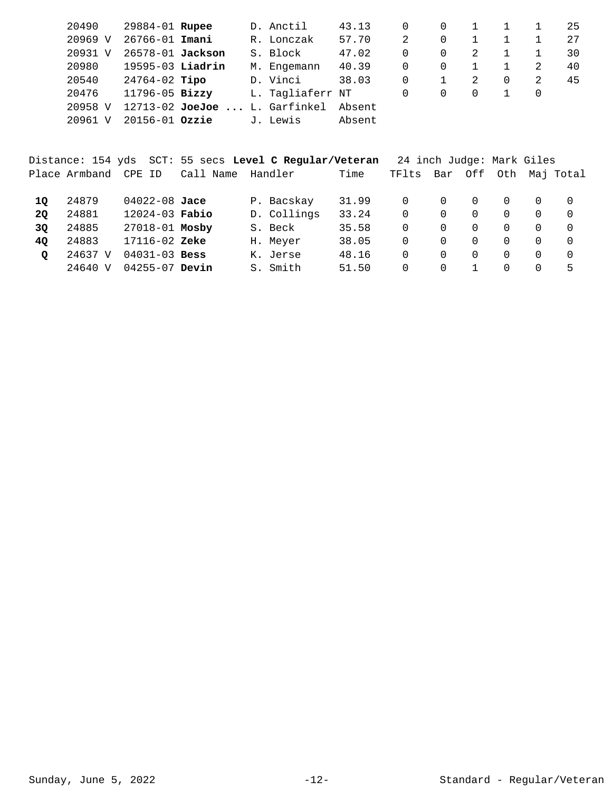| 20490        | 29884-01 Rupee       |                                 | D. Anctil        | 43.13  |   |          |          |   |   | 25 |
|--------------|----------------------|---------------------------------|------------------|--------|---|----------|----------|---|---|----|
| 20969 V      | 26766-01 Imani       |                                 | R. Lonczak       | 57.70  | 2 |          |          |   |   | 27 |
| 20931<br>- V | 26578-01 Jackson     |                                 | S. Block         | 47.02  | 0 | $\Omega$ | 2        |   |   | 30 |
| 20980        | $19595-03$ Liadrin   |                                 | M. Engemann      | 40.39  | 0 |          |          |   | 2 | 40 |
| 20540        | 24764-02 <b>Tipo</b> |                                 | D. Vinci         | 38.03  | 0 |          | 2        | 0 |   | 45 |
| 20476        | 11796-05 Bizzy       |                                 | L. Tagliaferr NT |        | 0 | $\Omega$ | $\Omega$ |   |   |    |
| 20958 V      |                      | $12713-02$ JoeJoe  L. Garfinkel |                  | Absent |   |          |          |   |   |    |
| 20961        | $20156 - 01$ Ozzie   |                                 | J. Lewis         | Absent |   |          |          |   |   |    |

|         |               |                    | Distance: 154 yds SCT: 55 secs Level C Regular/Veteran |             |       | 24 inch Judge: Mark Giles |          |          |          |          |                |
|---------|---------------|--------------------|--------------------------------------------------------|-------------|-------|---------------------------|----------|----------|----------|----------|----------------|
|         | Place Armband | CPE ID             | Call Name                                              | Handler     | Time  | TFlts                     | Bar      | Off      |          |          | Oth Maj Total  |
| 10      | 24879         | $04022 - 08$ Jace  |                                                        | P. Bacskay  | 31.99 | 0                         | 0        | $\Omega$ | $\Omega$ | $\Omega$ | $\overline{0}$ |
| 20      | 24881         | $12024 - 03$ Fabio |                                                        | D. Collings | 33.24 | 0                         | $\Omega$ | $\Omega$ | $\Omega$ | $\Omega$ | $\Omega$       |
| 3Q      | 24885         | 27018-01 Mosby     |                                                        | S. Beck     | 35.58 | 0                         | 0        | $\Omega$ | $\Omega$ | $\Omega$ | $\Omega$       |
| 40      | 24883         | $17116 - 02$ Zeke  |                                                        | H. Meyer    | 38.05 | 0                         | 0        | $\Omega$ | $\Omega$ | $\Omega$ | $\Omega$       |
| $\circ$ | 24637 V       | $04031 - 03$ Bess  |                                                        | K. Jerse    | 48.16 | 0                         | 0        | $\Omega$ | $\Omega$ | $\Omega$ | $\Omega$       |
|         | 24640 V       | $04255 - 07$ Devin |                                                        | S. Smith    | 51.50 | 0                         | 0        |          | $\Omega$ | 0        | 5              |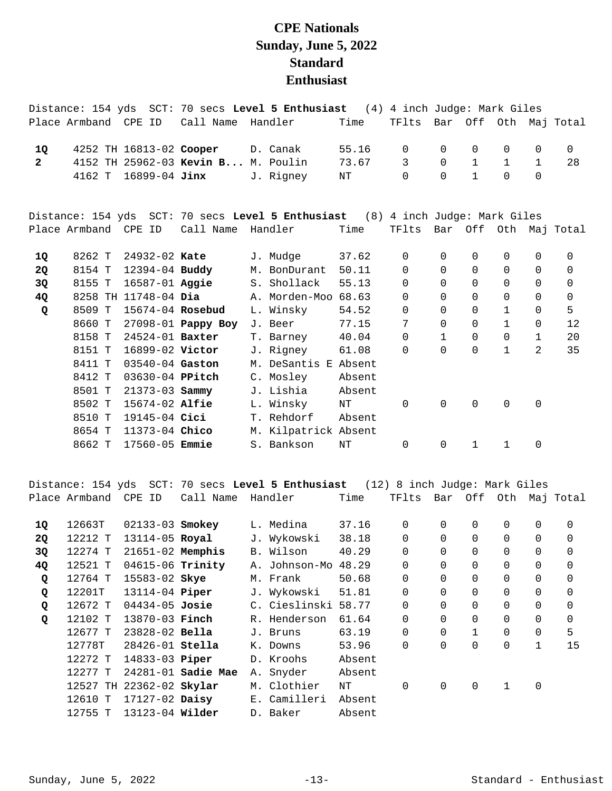## **CPE Nationals Sunday, June 5, 2022 Standard Enthusiast**

|              |                      |                         |                                    | Distance: 154 yds SCT: 70 secs Level 5 Enthusiast (4) 4 inch Judge: Mark Giles |        |                             |              |              |              |              |                       |
|--------------|----------------------|-------------------------|------------------------------------|--------------------------------------------------------------------------------|--------|-----------------------------|--------------|--------------|--------------|--------------|-----------------------|
|              | Place Armband CPE ID |                         | Call Name Handler                  |                                                                                | Time   | TFlts Bar Off Oth Maj Total |              |              |              |              |                       |
| 1Q           |                      | 4252 TH 16813-02 Cooper |                                    | D. Canak                                                                       | 55.16  | $\Omega$                    | 0            | $\Omega$     | 0            | $\Omega$     | $\mathbf 0$           |
| $\mathbf{2}$ |                      |                         | 4152 TH 25962-03 Kevin B M. Poulin |                                                                                | 73.67  | 3                           | $\Omega$     | $\mathbf{1}$ | $\mathbf{1}$ | $\mathbf{1}$ | 28                    |
|              | 4162 T               | 16899-04 Jinx           |                                    | J. Rigney                                                                      | ΝT     | $\Omega$                    | $\Omega$     | $\mathbf{1}$ | 0            | $\Omega$     |                       |
|              |                      |                         |                                    | Distance: 154 yds SCT: 70 secs Level 5 Enthusiast (8) 4 inch Judge: Mark Giles |        |                             |              |              |              |              |                       |
|              | Place Armband CPE ID |                         | Call Name                          | Handler                                                                        | Time   | TFlts                       |              |              |              |              | Bar Off Oth Maj Total |
| 10           | 8262 T               | 24932-02 Kate           |                                    | J. Mudge                                                                       | 37.62  | 0                           | 0            | 0            | 0            | 0            | 0                     |
| <b>2Q</b>    | 8154 T               | 12394-04 Buddy          |                                    | M. BonDurant                                                                   | 50.11  | $\Omega$                    | $\Omega$     | $\Omega$     | 0            | $\Omega$     | $\mathbf 0$           |
| 3Q           | 8155 T               | $16587 - 01$ Aggie      |                                    | S. Shollack                                                                    | 55.13  | $\Omega$                    | $\Omega$     | $\Omega$     | 0            | $\Omega$     | 0                     |
| 4Q           |                      | 8258 TH 11748-04 Dia    |                                    | A. Morden-Moo                                                                  | 68.63  | $\mathbf 0$                 | 0            | $\Omega$     | 0            | $\mathbf 0$  | $\mathbf 0$           |
| Q            | 8509 T               | 15674-04 Rosebud        |                                    | L. Winsky                                                                      | 54.52  | $\mathbf 0$                 | $\Omega$     | $\Omega$     | $\mathbf{1}$ | $\Omega$     | 5                     |
|              | 8660 T               |                         | 27098-01 Pappy Boy                 | J. Beer                                                                        | 77.15  | 7                           | $\Omega$     | $\Omega$     | $\mathbf{1}$ | $\mathbf 0$  | 12                    |
|              | 8158 T               | 24524-01 Baxter         |                                    | T. Barney                                                                      | 40.04  | 0                           | $\mathbf{1}$ | 0            | 0            | $\mathbf 1$  | 20                    |
|              | 8151 T               | 16899-02 Victor         |                                    | J. Rigney                                                                      | 61.08  | $\Omega$                    | <sup>0</sup> | $\Omega$     | $\mathbf{1}$ | 2            | 35                    |
|              | 8411 T               | 03540-04 Gaston         |                                    | M. DeSantis E Absent                                                           |        |                             |              |              |              |              |                       |
|              | 8412 T               | 03630-04 PPitch         |                                    | C. Mosley                                                                      | Absent |                             |              |              |              |              |                       |
|              | 8501 T               | $21373 - 03$ Sammy      |                                    | J. Lishia                                                                      | Absent |                             |              |              |              |              |                       |
|              | 8502 T               | $15674 - 02$ Alfie      |                                    | L. Winsky                                                                      | NT     | $\Omega$                    | $\Omega$     | $\Omega$     | 0            | $\mathbf 0$  |                       |
|              | 8510 T               | 19145-04 Cici           |                                    | T. Rehdorf                                                                     | Absent |                             |              |              |              |              |                       |
|              | 8654 T               | 11373-04 Chico          |                                    | M. Kilpatrick Absent                                                           |        |                             |              |              |              |              |                       |
|              | 8662 T               | 17560-05 <b>Emmie</b>   |                                    | S. Bankson                                                                     | NT     | 0                           | 0            | $\mathbf{1}$ | 1            | 0            |                       |
|              |                      |                         |                                    |                                                                                |        |                             |              |              |              |              |                       |

Distance: 154 yds SCT: 70 secs **Level 5 Enthusiast** (12) 8 inch Judge: Mark Giles Place Armband CPE ID Call Name Handler Time TFlts Bar Off Oth Maj Total

| 10        | 12663T  | $02133 - 03$ Smokey      |                    | L. Medina     | 37.16  | 0              | 0        | 0            | 0        | 0              | 0        |
|-----------|---------|--------------------------|--------------------|---------------|--------|----------------|----------|--------------|----------|----------------|----------|
| <b>2Q</b> | 12212 T | 13114-05 Royal           |                    | J. Wykowski   | 38.18  | $\overline{0}$ | $\Omega$ | $\Omega$     | 0        | $\Omega$       | 0        |
| 3Q        | 12274 T | $21651 - 02$ Memphis     |                    | B. Wilson     | 40.29  | 0              | 0        | $\Omega$     | 0        | 0              | 0        |
| 4Q        | 12521 T | 04615-06 Trinity         |                    | A. Johnson-Mo | 48.29  | $\overline{0}$ | $\Omega$ | $\Omega$     | 0        | $\Omega$       | $\Omega$ |
| Q         | 12764 T | 15583-02 Skye            |                    | M. Frank      | 50.68  | 0              | 0        | $\Omega$     | 0        | 0              | 0        |
| Q         | 12201T  | 13114-04 Piper           |                    | J. Wykowski   | 51.81  | $\overline{0}$ | $\Omega$ | $\Omega$     | 0        | $\mathbf 0$    | $\Omega$ |
| Q         | 12672 T | $04434 - 05$ Josie       |                    | C. Cieslinski | 58.77  | 0              | 0        | $\Omega$     | 0        | $\overline{0}$ | 0        |
| Q         | 12102 T | 13870-03 <b>Finch</b>    |                    | R. Henderson  | 61.64  | $\overline{0}$ | $\Omega$ | $\Omega$     | $\Omega$ | $\overline{0}$ | $\Omega$ |
|           | 12677 T | $23828 - 02$ Bella       |                    | J. Bruns      | 63.19  | $\overline{0}$ | 0        | $\mathbf{1}$ | 0        | $\overline{0}$ | 5        |
|           | 12778T  | $28426 - 01$ Stella      |                    | K. Downs      | 53.96  | $\overline{0}$ | $\Omega$ | $\Omega$     | 0        | 1              | 15       |
|           | 12272 T | 14833-03 <b>Piper</b>    |                    | D. Kroohs     | Absent |                |          |              |          |                |          |
|           | 12277 T |                          | 24281-01 Sadie Mae | A. Snyder     | Absent |                |          |              |          |                |          |
|           |         | 12527 TH 22362-02 Skylar |                    | M. Clothier   | ΝT     | 0              | 0        | $\Omega$     | 1        | 0              |          |
|           | 12610 T | $17127-02$ Daisy         |                    | E. Camilleri  | Absent |                |          |              |          |                |          |
|           | 12755 T | 13123-04 Wilder          |                    | D. Baker      | Absent |                |          |              |          |                |          |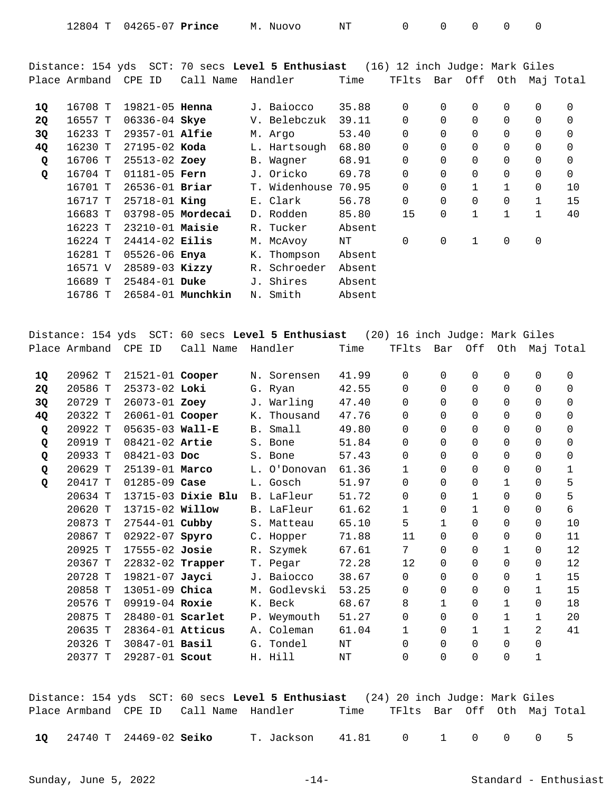| ⊥2804<br>04265-07<br>Prince | OVO<br>- Nuc<br>M | NТ |  |  |  |  |  |
|-----------------------------|-------------------|----|--|--|--|--|--|
|-----------------------------|-------------------|----|--|--|--|--|--|

Distance: 154 yds SCT: 70 secs **Level 5 Enthusiast** (16) 12 inch Judge: Mark Giles Place Armband CPE ID Call Name Handler Time TFlts Bar Off Oth Maj Total

| 1Q | 16708 T | $19821 - 05$ Henna |                   |     | J. Baiocco    | 35.88  | 0              | 0        | $\Omega$     | 0            | 0              | 0        |
|----|---------|--------------------|-------------------|-----|---------------|--------|----------------|----------|--------------|--------------|----------------|----------|
| 2Q | 16557 T | 06336-04 Skye      |                   |     | V. Belebczuk  | 39.11  | $\overline{0}$ | $\Omega$ | $\Omega$     | 0            | $\Omega$       | $\Omega$ |
| 3Q | 16233 T | $29357 - 01$ Alfie |                   |     | M. Argo       | 53.40  | 0              | $\Omega$ | $\Omega$     | 0            | $\overline{0}$ | 0        |
| 4Q | 16230 T | $27195 - 02$ Koda  |                   |     | L. Hartsough  | 68.80  | 0              | $\Omega$ | $\Omega$     | 0            | $\Omega$       | $\Omega$ |
| Q  | 16706 T | 25513-02 Zoey      |                   |     | B. Wagner     | 68.91  | 0              | $\Omega$ | $\Omega$     | 0            | $\mathbf 0$    | 0        |
| Q  | 16704 T | $01181 - 05$ Fern  |                   |     | J. Oricko     | 69.78  | $\overline{0}$ | 0        | $\Omega$     | 0            | 0              | 0        |
|    | 16701 T | $26536 - 01$ Briar |                   |     | T. Widenhouse | 70.95  | $\overline{0}$ | $\Omega$ | 1            | $\mathbf{1}$ | $\Omega$       | 10       |
|    | 16717 T | $25718 - 01$ King  |                   |     | E. Clark      | 56.78  | 0              | 0        |              | 0            | 1              | 15       |
|    | 16683 T |                    | 03798-05 Mordecai |     | D. Rodden     | 85.80  | 15             | 0        | $\mathbf{1}$ | 1            | $\mathbf{1}$   | 40       |
|    | 16223 T | $23210-01$ Maisie  |                   |     | R. Tucker     | Absent |                |          |              |              |                |          |
|    | 16224 T | $24414 - 02$ Eilis |                   |     | M. McAvoy     | NΤ     | 0              | 0        | 1            | 0            | 0              |          |
|    | 16281 T | 05526-06 Enya      |                   | К.  | Thompson      | Absent |                |          |              |              |                |          |
|    | 16571 V | $28589 - 03$ Kizzy |                   | R.  | Schroeder     | Absent |                |          |              |              |                |          |
|    | 16689 T | $25484 - 01$ Duke  |                   | J., | Shires        | Absent |                |          |              |              |                |          |
|    | 16786 T |                    | 26584-01 Munchkin | Ν.  | Smith         | Absent |                |          |              |              |                |          |

Distance: 154 yds SCT: 60 secs **Level 5 Enthusiast** (20) 16 inch Judge: Mark Giles Place Armband CPE ID Call Name Handler Time TFlts Bar Off Oth Maj Total

| 1Q        | 20962 T | $21521 - 01$ Cooper |                    | Ν. | Sorensen     | 41.99 | $\Omega$     | $\Omega$ | 0            | 0        | 0            | 0        |
|-----------|---------|---------------------|--------------------|----|--------------|-------|--------------|----------|--------------|----------|--------------|----------|
| <b>2Q</b> | 20586 T | 25373-02 Loki       |                    |    | G. Ryan      | 42.55 | $\Omega$     | $\Omega$ | $\Omega$     | $\Omega$ | $\Omega$     | 0        |
| 3Q        | 20729 T | 26073-01 Zoey       |                    |    | J. Warling   | 47.40 | $\Omega$     | $\Omega$ | $\Omega$     | 0        | $\Omega$     | $\Omega$ |
| 4Q        | 20322 T | 26061-01 Cooper     |                    | К. | Thousand     | 47.76 | $\Omega$     | 0        | 0            | 0        | $\Omega$     | 0        |
| Q         | 20922 T | $05635 - 03$ Wall-E |                    |    | B. Small     | 49.80 | $\Omega$     | $\Omega$ | $\Omega$     | $\Omega$ | $\Omega$     | $\Omega$ |
| Q         | 20919 T | $08421 - 02$ Artie  |                    |    | S. Bone      | 51.84 | $\Omega$     | $\Omega$ | 0            | 0        | $\Omega$     | $\Omega$ |
| Q         | 20933 T | $08421 - 03$ Doc    |                    |    | S. Bone      | 57.43 | $\Omega$     | 0        | 0            | 0        | 0            | 0        |
| Q         | 20629 T | 25139-01 Marco      |                    |    | L. O'Donovan | 61.36 | 1            | $\Omega$ | $\Omega$     | 0        | $\Omega$     | 1        |
| Q         | 20417 T | $01285 - 09$ Case   |                    |    | L. Gosch     | 51.97 | $\Omega$     | 0        | $\Omega$     | 1        | $\Omega$     | 5        |
|           | 20634 T |                     | 13715-03 Dixie Blu |    | B. LaFleur   | 51.72 | 0            | 0        | 1            | 0        | 0            | 5        |
|           | 20620 T | 13715-02 Willow     |                    |    | B. LaFleur   | 61.62 | $\mathbf{1}$ | $\Omega$ | $\mathbf{1}$ | $\Omega$ | $\Omega$     | 6        |
|           | 20873 T | 27544-01 Cubby      |                    |    | S. Matteau   | 65.10 | 5            | 1        | $\Omega$     | 0        | $\Omega$     | 10       |
|           | 20867 T | 02922-07 Spyro      |                    |    | C. Hopper    | 71.88 | 11           | $\Omega$ | 0            | 0        | 0            | 11       |
|           | 20925 T | $17555 - 02$ Josie  |                    |    | R. Szymek    | 67.61 | 7            | $\Omega$ | $\Omega$     | 1        | $\Omega$     | 12       |
|           | 20367 T | 22832-02 Trapper    |                    |    | T. Pegar     | 72.28 | 12           | $\Omega$ | $\Omega$     | 0        | 0            | 12       |
|           | 20728 T | 19821-07 Jayci      |                    |    | J. Baiocco   | 38.67 | $\Omega$     | $\Omega$ | $\Omega$     | 0        | 1            | 15       |
|           | 20858 T | 13051-09 Chica      |                    |    | M. Godlevski | 53.25 | $\Omega$     | $\Omega$ | $\Omega$     | 0        | $\mathbf{1}$ | 15       |
|           | 20576 T | 09919-04 Roxie      |                    |    | K. Beck      | 68.67 | 8            |          | 0            | 1        | $\Omega$     | 18       |
|           | 20875 T | 28480-01 Scarlet    |                    |    | P. Weymouth  | 51.27 | 0            | $\Omega$ | $\Omega$     | 1        | 1            | 20       |
|           | 20635 T | 28364-01 Atticus    |                    | Α. | Coleman      | 61.04 | $\mathbf{1}$ | $\Omega$ | 1            | 1        | 2            | 41       |
|           | 20326 T | 30847-01 Basil      |                    | G. | Tondel       | NΤ    | $\Omega$     | $\Omega$ | $\Omega$     | 0        | 0            |          |
|           | 20377 T | 29287-01 Scout      |                    |    | H. Hill      | NΤ    | 0            | $\Omega$ | $\Omega$     | 0        | 1            |          |
|           |         |                     |                    |    |              |       |              |          |              |          |              |          |

Distance: 154 yds SCT: 60 secs **Level 5 Enthusiast** (24) 20 inch Judge: Mark Giles Place Armband CPE ID Call Name Handler Time TFlts Bar Off Oth Maj Total

24740 T 24469-02 T. Jackson 41.81 0 1 0 0 0 5 **1Q Seiko**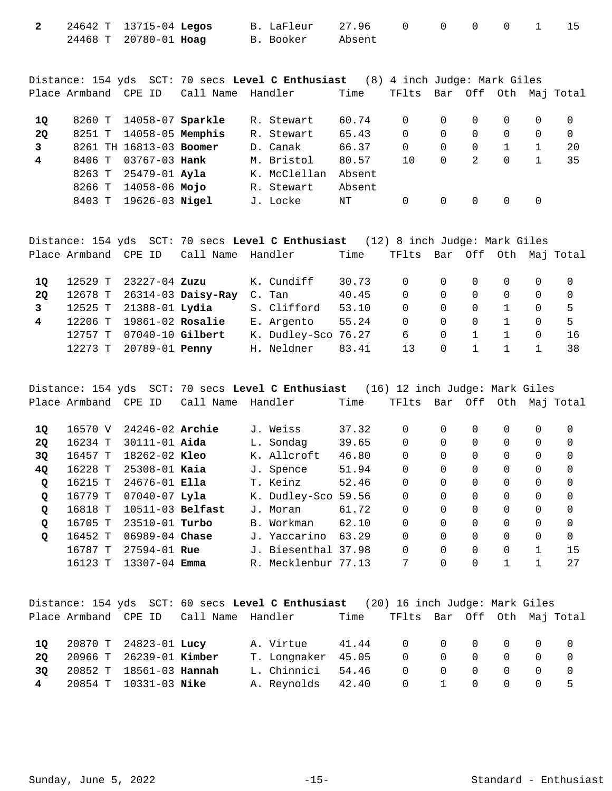| 2 24642 T 13715-04 Legos |  | B. LaFleur 27.96 0 0 0 0 1 15 |  |  |  |  |
|--------------------------|--|-------------------------------|--|--|--|--|
| 24468 T 20780-01 Hoag    |  | B. Booker       Absent        |  |  |  |  |

Distance: 154 yds SCT: 70 secs **Level C Enthusiast** (8) 4 inch Judge: Mark Giles Place Armband CPE ID Call Name Handler Time TFlts Bar Off Oth Maj Total

| 10 |        | 8260 T 14058-07 Sparkle |  | R. Stewart   | 60.74  | 0  |          |          | $\Omega$ |    |
|----|--------|-------------------------|--|--------------|--------|----|----------|----------|----------|----|
| 20 | 8251 T | 14058-05 Memphis        |  | R. Stewart   | 65.43  | 0  | $\Omega$ |          | $\Omega$ |    |
|    |        | 8261 TH 16813-03 Boomer |  | D. Canak     | 66.37  | 0  | $\Omega$ | $\Omega$ |          | 20 |
| 4  | 8406 T | 03767-03 <b>Hank</b>    |  | M. Bristol   | 80.57  | 10 | $\Omega$ | 2        | $\Omega$ | 35 |
|    |        | 8263 T 25479-01 Ayla    |  | K. McClellan | Absent |    |          |          |          |    |
|    | 8266 T | 14058-06 <b>Mojo</b>    |  | R. Stewart   | Absent |    |          |          |          |    |
|    | 8403 T | 19626-03 <b>Nigel</b>   |  | J. Locke     | NT     | 0  |          |          |          |    |

|    |                      |                              |                            | Distance: 154 yds SCT: 70 secs Level C Enthusiast (12) 8 inch Judge: Mark Giles |       |                             |          |                                     |              |                |                |
|----|----------------------|------------------------------|----------------------------|---------------------------------------------------------------------------------|-------|-----------------------------|----------|-------------------------------------|--------------|----------------|----------------|
|    | Place Armband CPE ID |                              | Call Name Handler          |                                                                                 | Time  | TFlts Bar Off Oth Maj Total |          |                                     |              |                |                |
| 10 |                      | 12529 T 23227-04 <b>Zuzu</b> |                            | K. Cundiff                                                                      | 30.73 | $\overline{0}$              |          | $\begin{matrix} 0 & 0 \end{matrix}$ | $0\qquad 0$  |                | $\overline{0}$ |
| 20 |                      |                              | 12678 T 26314-03 Daisy-Ray | C. Tan                                                                          | 40.45 | $\Omega$                    | $\Omega$ | $\overline{0}$                      | $\Omega$     | $\overline{0}$ | $\overline{0}$ |
| 3  |                      | 12525 T 21388-01 Lydia       |                            | S. Clifford                                                                     | 53.10 | $\Omega$                    | $\Omega$ | $\overline{0}$                      |              | $\overline{0}$ | -5             |
| 4  |                      | 12206 T 19861-02 Rosalie     |                            | E. Argento                                                                      | 55.24 | $\Omega$                    | $\Omega$ | $\Omega$                            | $\mathbf{1}$ | $\Omega$       | .5             |
|    |                      | 12757 T 07040-10 Gilbert     |                            | K. Dudley-Sco 76.27                                                             |       | 6                           | $\Omega$ |                                     |              | $\Omega$       | -16            |
|    |                      | 12273 T 20789-01 Penny       |                            | H. Neldner                                                                      | 83.41 | 13                          | $\Omega$ |                                     |              |                | 38             |

Distance: 154 yds SCT: 70 secs **Level C Enthusiast** (16) 12 inch Judge: Mark Giles Place Armband CPE ID Call Name Handler Time TFlts Bar Off Oth Maj Total 16570 V 24246-02 J. Weiss 37.32 0 0 0 0 0 0 **1Q Archie**  16234 T 30111-01 L. Sondag 39.65 0 0 0 0 0 0 **2Q Aida**  16457 T 18262-02 K. Allcroft 46.80 0 0 0 0 0 0 **3Q Kleo**  16228 T 25308-01 J. Spence 51.94 0 0 0 0 0 0 **4Q Kaia**  16215 T 24676-01 T. Keinz 52.46 0 0 0 0 0 0 **Q Ella**  16779 T 07040-07 K. Dudley-Sco 59.56 0 0 0 0 0 0 **Q Lyla**  16818 T 10511-03 J. Moran 61.72 0 0 0 0 0 0 **Q Belfast**  16705 T 23510-01 B. Workman 62.10 0 0 0 0 0 0 **Q Turbo**  16452 T 06989-04 J. Yaccarino 63.29 0 0 0 0 0 0 **Q Chase**  16787 T 27594-01 J. Biesenthal 37.98 0 0 0 0 1 15 **Rue**  16123 T 13307-04 R. Mecklenbur 77.13 7 0 0 1 1 27 **Emma** 

|    |                                | Distance: 154 yds SCT: 60 secs Level C Enthusiast (20) 16 inch Judge: Mark Giles       |  |  |  |  |
|----|--------------------------------|----------------------------------------------------------------------------------------|--|--|--|--|
|    |                                | Place Armband  CPE ID  Call Name  Handler       Time   TFlts  Bar  Off  Oth  Maj Total |  |  |  |  |
|    |                                | A. Virtue 41.44 0 0 0 0 0 0                                                            |  |  |  |  |
| 10 | 20870 T 24823-01 Lucy          |                                                                                        |  |  |  |  |
| 20 | 20966 T 26239-01 Kimber        | T. Longnaker 45.05 0 0 0 0 0                                                           |  |  |  |  |
| 30 | 20852 T 18561-03 <b>Hannah</b> | L. Chinnici 54.46 0 0 0 0 0                                                            |  |  |  |  |
|    | 4 20854 T 10331-03 Nike        | A. Reynolds 42.40  0  1  0  0  0  5                                                    |  |  |  |  |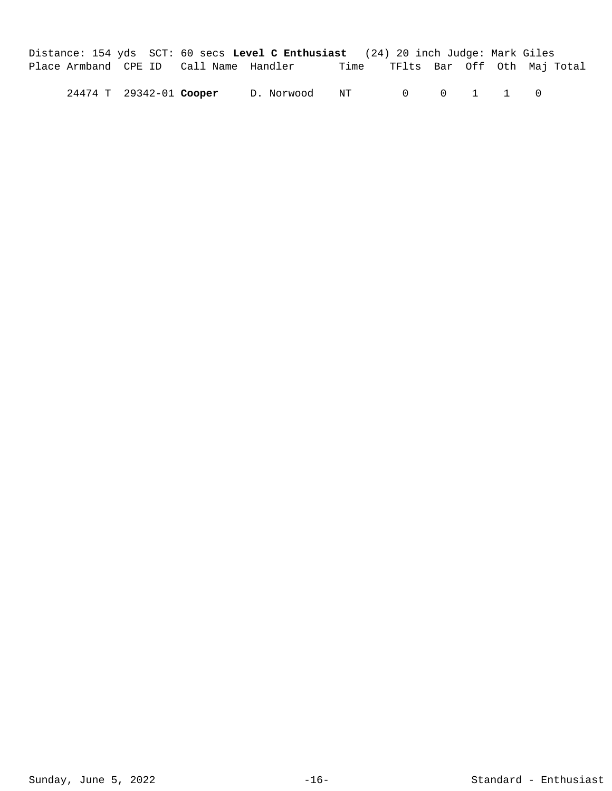Distance: 154 yds SCT: 60 secs **Level C Enthusiast** (24) 20 inch Judge: Mark Giles Place Armband CPE ID Call Name Handler Time TFlts Bar Off Oth Maj Total

24474 T 29342-01 D. Norwood NT 0 0 1 1 0 **Cooper**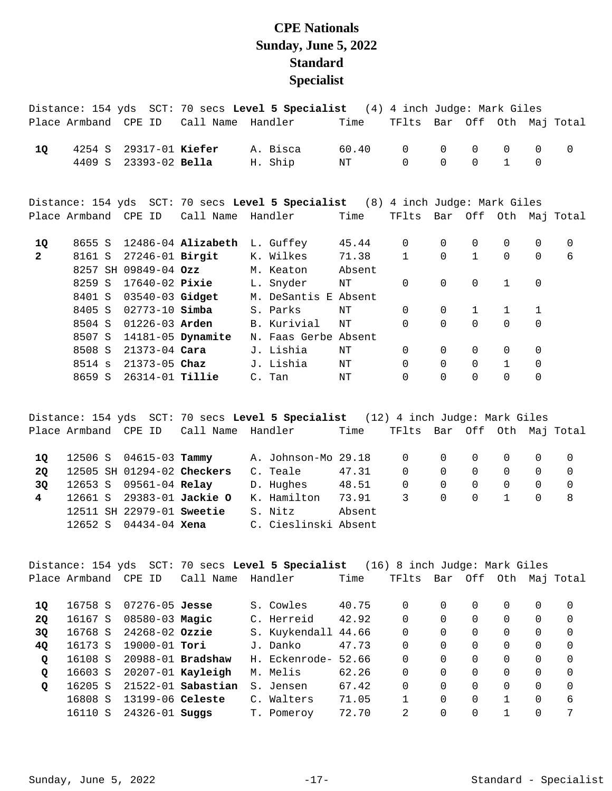## **CPE Nationals Sunday, June 5, 2022 Standard Specialist**

|              |                      |  |                           |  | Distance: 154 yds SCT: 70 secs Level 5 Specialist (4) 4 inch Judge: Mark Giles |       |              |             |              |              |                |                       |
|--------------|----------------------|--|---------------------------|--|--------------------------------------------------------------------------------|-------|--------------|-------------|--------------|--------------|----------------|-----------------------|
|              | Place Armband CPE ID |  |                           |  | Call Name Handler                                                              | Time  | TFlts        |             |              |              |                | Bar Off Oth Maj Total |
| 1Q           | 4254 S               |  | 29317-01 Kiefer           |  | A. Bisca                                                                       | 60.40 | $\mathbf 0$  | $\mathbf 0$ | 0            | $\mathbf 0$  | $\mathbf 0$    | $\mathbf 0$           |
|              | 4409 S               |  | 23393-02 Bella            |  | H. Ship                                                                        | NT    | $\Omega$     | $\Omega$    | $\Omega$     | $\mathbf{1}$ | $\overline{0}$ |                       |
|              |                      |  |                           |  | Distance: 154 yds SCT: 70 secs Level 5 Specialist (8) 4 inch Judge: Mark Giles |       |              |             |              |              |                |                       |
|              | Place Armband CPE ID |  | Call Name                 |  | Handler                                                                        | Time  | TFlts        |             |              |              |                | Bar Off Oth Maj Total |
| 1Q           |                      |  | 8655 S 12486-04 Alizabeth |  | L. Guffey 45.44                                                                |       | $\mathbf 0$  | $\Omega$    | $\Omega$     | $\mathbf 0$  | $\mathbf 0$    | $\mathbf 0$           |
| $\mathbf{2}$ | 8161 S               |  | 27246-01 Birgit           |  | K. Wilkes                                                                      | 71.38 | $\mathbf{1}$ | $\Omega$    | $\mathbf{1}$ | $\Omega$     | $\Omega$       | 6                     |
|              | 8257 SH 09849-04 Ozz |  |                           |  | M. Keaton Absent                                                               |       |              |             |              |              |                |                       |
|              | 8259 S               |  | 17640-02 Pixie            |  | L. Snyder                                                                      | ΝT    | $\mathbf 0$  | $\mathbf 0$ | $\mathsf{O}$ | 1            | $\overline{0}$ |                       |
|              | 8401 S               |  | $03540 - 03$ Gidget       |  | M. DeSantis E Absent                                                           |       |              |             |              |              |                |                       |
|              | 8405 S               |  | 02773-10 <b>Simba</b>     |  | S. Parks                                                                       | NT    | $\Omega$     | $\Omega$    | $\mathbf{1}$ | $\mathbf{1}$ | $\mathbf{1}$   |                       |
|              | 8504 S               |  | 01226-03 Arden            |  | B. Kurivial                                                                    | ΝT    | $\Omega$     | $\Omega$    | $\Omega$     | $\Omega$     | 0              |                       |
|              | 8507 S               |  | 14181-05 Dynamite         |  | N. Faas Gerbe Absent                                                           |       |              |             |              |              |                |                       |
|              | 8508 S               |  | 21373-04 <b>Cara</b>      |  | J. Lishia                                                                      | ΝT    | $\mathbf 0$  | $\Omega$    | $\mathbf 0$  | $\mathbf 0$  | 0              |                       |
|              | 8514 s               |  | 21373-05 Chaz             |  | J. Lishia                                                                      | ΝT    | $\Omega$     | $\Omega$    | $\Omega$     | $\mathbf{1}$ | 0              |                       |
|              | 8659 S               |  | 26314-01 <b>Tillie</b>    |  | C. Tan                                                                         | ΝT    | $\Omega$     | $\Omega$    | $\Omega$     | $\Omega$     | $\mathbf 0$    |                       |

Distance: 154 yds SCT: 70 secs **Level 5 Specialist** (12) 4 inch Judge: Mark Giles Place Armband CPE ID Call Name Handler Time TFlts Bar Off Oth Maj Total 12506 S 04615-03 A. Johnson-Mo 29.18 0 0 0 0 0 0 **1Q Tammy**  12505 SH 01294-02 C. Teale 47.31 0 0 0 0 0 0 **2Q Checkers**  12653 S 09561-04 D. Hughes 48.51 0 0 0 0 0 0 **3Q Relay**  12661 S 29383-01 K. Hamilton 73.91 3 0 0 1 0 8 **4 Jackie O**  12511 SH 22979-01 **Sweetie** S. Nitz **Absent** 

12652 S 04434-04 C. Cieslinski Absent **Xena** 

Distance: 154 yds SCT: 70 secs **Level 5 Specialist** (16) 8 inch Judge: Mark Giles Place Armband CPE ID Call Name Handler Time TFlts Bar Off Oth Maj Total 16758 S 07276-05 S. Cowles 40.75 0 0 0 0 0 0 **1Q Jesse**  16167 S 08580-03 C. Herreid 42.92 0 0 0 0 0 0 **2Q Magic**  16768 S 24268-02 S. Kuykendall 44.66 0 0 0 0 0 0 **3Q Ozzie**  16173 S 19000-01 J. Danko 47.73 0 0 0 0 0 0 **4Q Tori**  16108 S 20988-01 H. Eckenrode- 52.66 0 0 0 0 0 0 **Q Bradshaw**  16603 S 20207-01 M. Melis 62.26 0 0 0 0 0 0 **Q Kayleigh Q** 16205 S 21522-01 **Sabastian** S. Jensen 67.42 0 0 0 0 0 0 0 0 16808 S 13199-06 C. Walters 71.05 1 0 0 1 0 6 **Celeste**  16110 S 24326-01 **Suggs** T. Pomeroy 72.70 2 0 0 1 0 7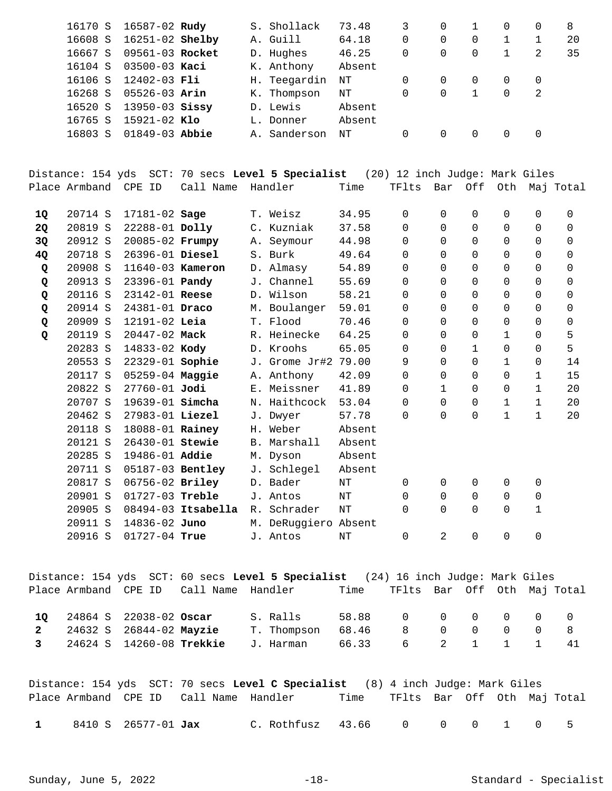| 16170 S | 16587-02 Rudy       |  | S. Shollack  | 73.48  |   |          |          |          |   | 8  |
|---------|---------------------|--|--------------|--------|---|----------|----------|----------|---|----|
| 16608 S | $16251 - 02$ Shelby |  | A. Guill     | 64.18  | 0 | 0        |          |          |   | 20 |
| 16667 S | 09561-03 Rocket     |  | D. Hughes    | 46.25  | 0 | 0        | $\Omega$ |          | 2 | 35 |
| 16104 S | $03500 - 03$ Kaci   |  | K. Anthony   | Absent |   |          |          |          |   |    |
| 16106 S | 12402-03 Fli        |  | H. Teegardin | NΤ     | 0 | $\Omega$ |          | $\Omega$ | 0 |    |
| 16268 S | $05526 - 03$ Arin   |  | K. Thompson  | NΤ     | 0 | 0        |          | 0        | 2 |    |
| 16520 S | $13950 - 03$ Sissy  |  | D. Lewis     | Absent |   |          |          |          |   |    |
| 16765 S | $15921 - 02$ Klo    |  | L. Donner    | Absent |   |          |          |          |   |    |
| 16803 S | $01849 - 03$ Abbie  |  | A. Sanderson | NΤ     | 0 |          |          | 0        |   |    |
|         |                     |  |              |        |   |          |          |          |   |    |

Distance: 154 yds SCT: 70 secs **Level 5 Specialist** (20) 12 inch Judge: Mark Giles Place Armband CPE ID Call Name Handler Time TFlts Bar Off Oth Maj Total

| 1Q | 20714 S | $17181 - 02$ Sage      |                    |             | T. Weisz             | 34.95  | 0        | 0            | 0              | 0            | 0              | 0           |
|----|---------|------------------------|--------------------|-------------|----------------------|--------|----------|--------------|----------------|--------------|----------------|-------------|
| 2Q | 20819 S | 22288-01 Dolly         |                    |             | C. Kuzniak           | 37.58  | 0        | 0            | 0              | 0            | 0              | 0           |
| 3Q | 20912 S | 20085-02 Frumpy        |                    |             | A. Seymour           | 44.98  | 0        | $\Omega$     | 0              | 0            | $\Omega$       | 0           |
| 4Q | 20718 S | 26396-01 Diesel        |                    |             | S. Burk              | 49.64  | 0        | $\Omega$     | $\mathbf 0$    | 0            | 0              | 0           |
| Q  | 20908 S | 11640-03 Kameron       |                    |             | D. Almasy            | 54.89  | $\Omega$ | $\Omega$     | $\Omega$       | 0            | $\Omega$       | $\Omega$    |
| Q  | 20913 S | 23396-01 <b>Pandy</b>  |                    |             | J. Channel           | 55.69  | $\Omega$ | $\Omega$     | $\Omega$       | 0            | $\Omega$       | $\Omega$    |
| Q  | 20116 S | 23142-01 Reese         |                    |             | D. Wilson            | 58.21  | 0        | $\Omega$     | $\Omega$       | 0            | $\Omega$       | $\Omega$    |
| Q  | 20914 S | $24381 - 01$ Draco     |                    |             | M. Boulanger         | 59.01  | $\Omega$ | $\Omega$     | $\Omega$       | 0            | $\Omega$       | $\Omega$    |
| Q  | 20909 S | 12191-02 Leia          |                    |             | T. Flood             | 70.46  | 0        | $\Omega$     | $\Omega$       | 0            | $\Omega$       | $\mathbf 0$ |
| Q  | 20119 S | 20447-02 Mack          |                    |             | R. Heinecke          | 64.25  | 0        | $\Omega$     | $\overline{0}$ | 1            | 0              | 5           |
|    | 20283 S | 14833-02 Kody          |                    |             | D. Kroohs            | 65.05  | 0        | $\Omega$     | 1              | 0            | 0              | 5           |
|    | 20553 S | 22329-01 Sophie        |                    |             | J. Grome Jr#2        | 79.00  | 9        | $\Omega$     | $\Omega$       | $\mathbf{1}$ | 0              | 14          |
|    | 20117 S | 05259-04 Maggie        |                    |             | A. Anthony           | 42.09  | 0        | $\Omega$     | $\Omega$       | 0            | 1              | 15          |
|    | 20822 S | 27760-01 Jodi          |                    |             | E. Meissner          | 41.89  | $\Omega$ | $\mathbf{1}$ | $\Omega$       | 0            | $\mathbf{1}$   | 20          |
|    | 20707 S | 19639-01 <b>Simcha</b> |                    |             | N. Haithcock         | 53.04  | 0        | $\Omega$     | $\Omega$       | 1            | $\mathbf{1}$   | 20          |
|    | 20462 S | 27983-01 Liezel        |                    |             | J. Dwyer             | 57.78  | $\Omega$ | $\Omega$     | 0              | 1            | 1              | 20          |
|    | 20118 S | 18088-01 Rainey        |                    |             | H. Weber             | Absent |          |              |                |              |                |             |
|    | 20121 S | 26430-01 Stewie        |                    |             | B. Marshall          | Absent |          |              |                |              |                |             |
|    | 20285 S | 19486-01 Addie         |                    |             | M. Dyson             | Absent |          |              |                |              |                |             |
|    | 20711 S | 05187-03 Bentley       |                    |             | J. Schlegel          | Absent |          |              |                |              |                |             |
|    | 20817 S | 06756-02 Briley        |                    |             | D. Bader             | NΤ     | $\Omega$ | 0            | $\Omega$       | 0            | 0              |             |
|    | 20901 S | $01727 - 03$ Treble    |                    |             | J. Antos             | NT     | $\Omega$ | $\Omega$     | $\Omega$       | $\Omega$     | $\overline{0}$ |             |
|    | 20905 S |                        | 08494-03 Itsabella | $R_{\odot}$ | Schrader             | NT     | $\Omega$ | $\Omega$     | $\Omega$       | 0            | $\mathbf 1$    |             |
|    | 20911 S | 14836-02 Juno          |                    |             | M. DeRuggiero Absent |        |          |              |                |              |                |             |
|    | 20916 S | $01727 - 04$ True      |                    |             | J. Antos             | NT     | 0        | 2            | 0              | 0            | 0              |             |
|    |         |                        |                    |             |                      |        |          |              |                |              |                |             |

Distance: 154 yds SCT: 60 secs **Level 5 Specialist** (24) 16 inch Judge: Mark Giles Place Armband CPE ID Call Name Handler Time TFlts Bar Off Oth Maj Total

|  |  | 10 24864 S 22038-02 Oscar      S. Ralls      58.88      0      0      0     0     0 |  |  |  |  |
|--|--|-------------------------------------------------------------------------------------|--|--|--|--|
|  |  |                                                                                     |  |  |  |  |
|  |  | 3  24624  S  14260-08 <b>Trekkie</b> J. Harman  66.33  6  2  1  1  1  41            |  |  |  |  |

|              |                            |                                        | Distance: 154 yds SCT: 70 secs Level C Specialist (8) 4 inch Judge: Mark Giles |                                  |  |  |      |
|--------------|----------------------------|----------------------------------------|--------------------------------------------------------------------------------|----------------------------------|--|--|------|
|              |                            | Place Armband CPE ID Call Name Handler |                                                                                | Time TFlts Bar Off Oth Maj-Total |  |  |      |
| $\mathbf{1}$ | 8410 S 26577-01 <b>Jax</b> |                                        | C.Rothfusz 43.66 0 0 0 1 0                                                     |                                  |  |  | $-5$ |